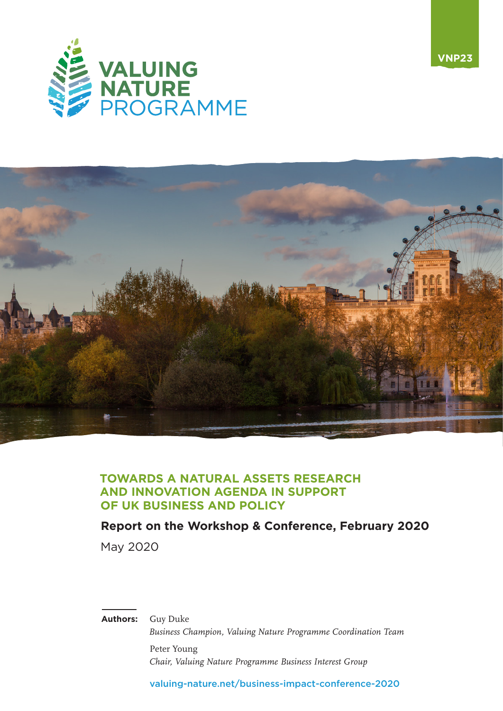



**VNP23**

### **TOWARDS A NATURAL ASSETS RESEARCH AND INNOVATION AGENDA IN SUPPORT OF UK BUSINESS AND POLICY**

### **Report on the Workshop & Conference, February 2020**

May 2020

#### **Authors:** Guy Duke

*Business Champion, Valuing Nature Programme Coordination Team* Peter Young *Chair, Valuing Nature Programme Business Interest Group*

[valuing-nature.net/business-impact-conference-2020](https://valuing-nature.net/business-impact-conference-2020)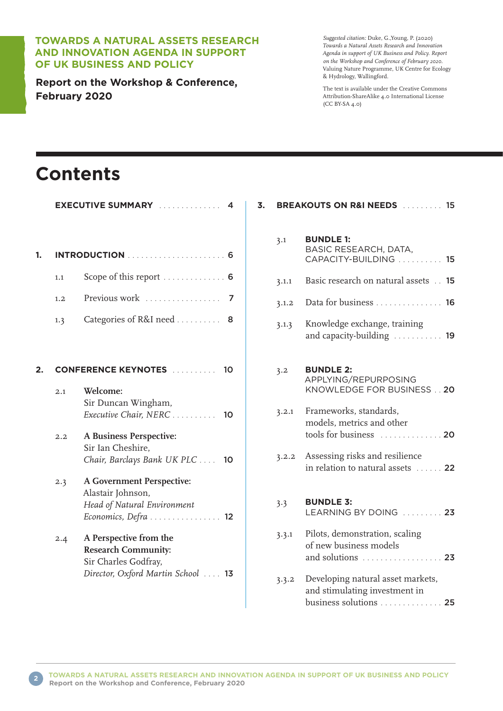#### **TOWARDS A NATURAL ASSETS RESEARCH AND INNOVATION AGENDA IN SUPPORT OF UK BUSINESS AND POLICY**

**Report on the Workshop & Conference, February 2020**

*Suggested citation:* Duke, G.,Young, P. (2020) *Towards a Natural Assets Research and Innovation Agenda in support of UK Business and Policy. Report on the Workshop and Conference of February 2020.* Valuing Nature Programme, UK Centre for Ecology & Hydrology, Wallingford.

The text is available under the Creative Commons Attribution-ShareAlike 4.0 International License (CC BY-SA 4.0)

# **Contents**

|                                  | <b>EXECUTIVE SUMMARY</b><br>4                                                                                      |  |
|----------------------------------|--------------------------------------------------------------------------------------------------------------------|--|
|                                  | .<br><b>INTRODUCTION</b><br>. 6                                                                                    |  |
| 1.1                              | Scope of this report $\dots \dots \dots$<br>6                                                                      |  |
| 1.2                              | Previous work<br>7                                                                                                 |  |
| 1.3                              | Categories of R&I need<br>8                                                                                        |  |
|                                  |                                                                                                                    |  |
| <b>CONFERENCE KEYNOTES</b><br>10 |                                                                                                                    |  |
| 2.1                              | Welcome:<br>Sir Duncan Wingham,<br>Executive Chair, NERC<br>10                                                     |  |
| 2.2                              | <b>A Business Perspective:</b><br>Sir Ian Cheshire,<br>Chair, Barclays Bank UK PLC<br>10                           |  |
| 2.3                              | <b>A Government Perspective:</b><br>Alastair Johnson,<br>Head of Natural Environment<br>Economics, Defra  12       |  |
| 2.4                              | A Perspective from the<br><b>Research Community:</b><br>Sir Charles Godfray,<br>Director, Oxford Martin School  13 |  |

| 3. | <b>BREAKOUTS ON R&amp;I NEEDS External 15</b> |                                                                                             |
|----|-----------------------------------------------|---------------------------------------------------------------------------------------------|
|    | 3.1                                           | <b>BUNDLE 1:</b><br>BASIC RESEARCH, DATA,<br>CAPACITY-BUILDING  15                          |
|    | 3.1.1                                         | Basic research on natural assets<br>15                                                      |
|    | 3.1.2                                         | Data for business 16                                                                        |
|    | 3.1.3                                         | Knowledge exchange, training<br>and capacity-building  19                                   |
|    | 3.2                                           | <b>BUNDLE 2:</b><br>APPLYING/REPURPOSING<br>KNOWLEDGE FOR BUSINESS 20                       |
|    | 3.2.1                                         | Frameworks, standards,<br>models, metrics and other<br>tools for business  20               |
|    | 3.2.2                                         | Assessing risks and resilience<br>in relation to natural assets  22                         |
|    | 3.3                                           | <b>BUNDLE 3:</b><br>LEARNING BY DOING  23                                                   |
|    | 3.3.1                                         | Pilots, demonstration, scaling<br>of new business models<br>and solutions  23               |
|    | 3.3.2                                         | Developing natural asset markets,<br>and stimulating investment in<br>business solutions 25 |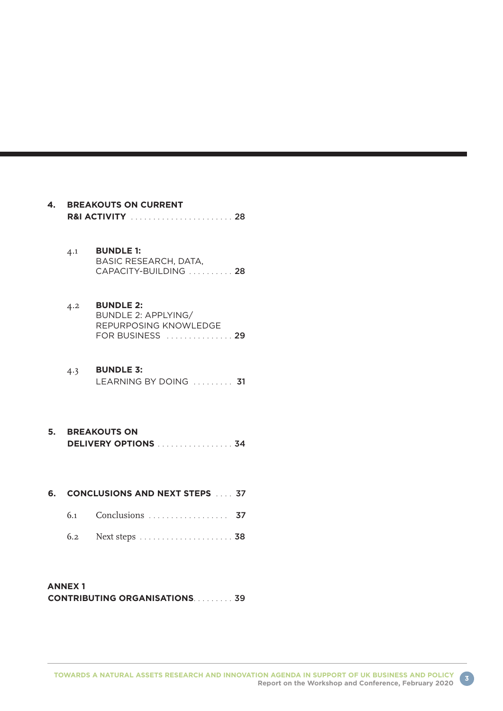| 4. | <b>BREAKOUTS ON CURRENT</b><br>R&I ACTIVITY  28 |                                                                                      |  |
|----|-------------------------------------------------|--------------------------------------------------------------------------------------|--|
|    | 4.1                                             | <b>BUNDLE 1:</b><br>BASIC RESEARCH, DATA,<br>CAPACITY-BUILDING  28                   |  |
|    | 4.2                                             | <b>BUNDLE 2:</b><br>BUNDLE 2: APPLYING/<br>REPURPOSING KNOWLEDGE<br>FOR BUSINESS  29 |  |
|    | 4.3                                             | <b>BUNDLE 3:</b><br>LEARNING BY DOING  31                                            |  |
|    | <b>5. BREAKOUTS ON</b><br>DELIVERY OPTIONS  34  |                                                                                      |  |
| 6. |                                                 | <b>CONCLUSIONS AND NEXT STEPS 10.00.37</b>                                           |  |
|    | 6.1                                             | Conclusions  37                                                                      |  |
|    | 6.2                                             |                                                                                      |  |
|    |                                                 |                                                                                      |  |

#### **ANNEX 1 CONTRIBUTING ORGANISATIONS** . . . . . . . . 39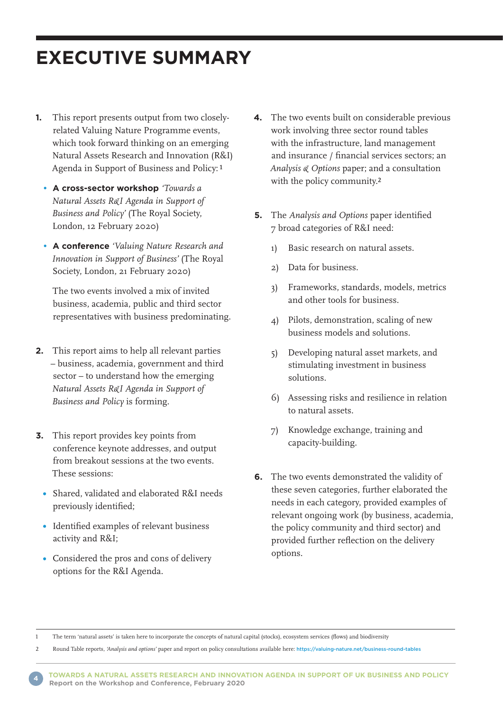# **EXECUTIVE SUMMARY**

- **1.** This report presents output from two closelyrelated Valuing Nature Programme events, which took forward thinking on an emerging Natural Assets Research and Innovation (R&I) Agenda in Support of Business and Policy:1
	- **A cross-sector workshop** *'Towards a Natural Assets R&I Agenda in Support of Business and Policy'* (The Royal Society, London, 12 February 2020)
	- **A conference** *'Valuing Nature Research and Innovation in Support of Business'* (The Royal Society, London, 21 February 2020)

 The two events involved a mix of invited business, academia, public and third sector representatives with business predominating.

- **2.** This report aims to help all relevant parties – business, academia, government and third sector – to understand how the emerging *Natural Assets R&I Agenda in Support of Business and Policy* is forming.
- **3.** This report provides key points from conference keynote addresses, and output from breakout sessions at the two events. These sessions:
	- Shared, validated and elaborated R&I needs previously identified;
	- Identified examples of relevant business activity and R&I;
	- Considered the pros and cons of delivery options for the R&I Agenda.
- **4.** The two events built on considerable previous work involving three sector round tables with the infrastructure, land management and insurance / financial services sectors; an *Analysis & Options* paper; and a consultation with the policy community.2
- **5.** The *Analysis and Options* paper identified 7 broad categories of R&I need:
	- 1) Basic research on natural assets.
	- 2) Data for business.
	- 3) Frameworks, standards, models, metrics and other tools for business.
	- 4) Pilots, demonstration, scaling of new business models and solutions.
	- 5) Developing natural asset markets, and stimulating investment in business solutions.
	- 6) Assessing risks and resilience in relation to natural assets.
	- 7) Knowledge exchange, training and capacity-building.
- **6.** The two events demonstrated the validity of these seven categories, further elaborated the needs in each category, provided examples of relevant ongoing work (by business, academia, the policy community and third sector) and provided further reflection on the delivery options.

1 The term 'natural assets' is taken here to incorporate the concepts of natural capital (stocks), ecosystem services (flows) and biodiversity

2 Round Table reports, *'Analysis and options'* paper and report on policy consultations available here: <https://valuing-nature.net/business-round-tables>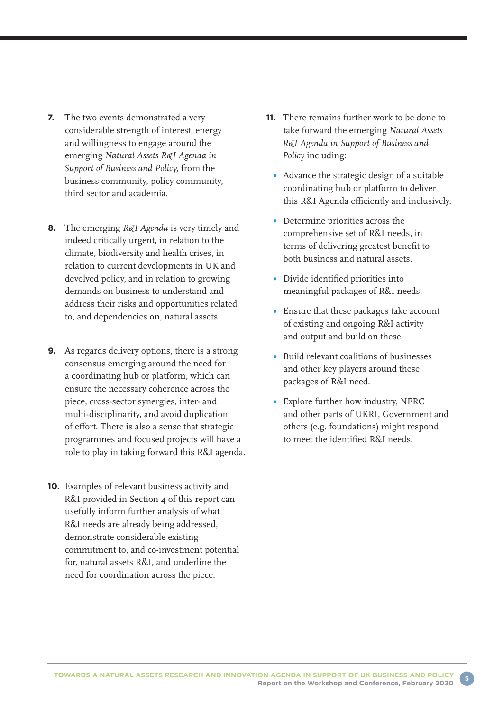- **7.** The two events demonstrated a very considerable strength of interest, energy and willingness to engage around the emerging *Natural Assets R&I Agenda in Support of Business and Policy,* from the business community, policy community, third sector and academia.
- **8.** The emerging *R&I Agenda* is very timely and indeed critically urgent, in relation to the climate, biodiversity and health crises, in relation to current developments in UK and devolved policy, and in relation to growing demands on business to understand and address their risks and opportunities related to, and dependencies on, natural assets.
- **9.** As regards delivery options, there is a strong consensus emerging around the need for a coordinating hub or platform, which can ensure the necessary coherence across the piece, cross-sector synergies, inter- and multi-disciplinarity, and avoid duplication of effort. There is also a sense that strategic programmes and focused projects will have a role to play in taking forward this R&I agenda.
- **10.** Examples of relevant business activity and R&I provided in Section 4 of this report can usefully inform further analysis of what R&I needs are already being addressed, demonstrate considerable existing commitment to, and co-investment potential for, natural assets R&I, and underline the need for coordination across the piece.
- **11.** There remains further work to be done to take forward the emerging *Natural Assets R&I Agenda in Support of Business and Policy* including:
	- Advance the strategic design of a suitable coordinating hub or platform to deliver this R&I Agenda efficiently and inclusively.
	- Determine priorities across the comprehensive set of R&I needs, in terms of delivering greatest benefit to both business and natural assets.
	- Divide identified priorities into meaningful packages of R&I needs.
	- Ensure that these packages take account of existing and ongoing R&I activity and output and build on these.
	- Build relevant coalitions of businesses and other key players around these packages of R&I need.
	- Explore further how industry, NERC and other parts of UKRI, Government and others (e.g. foundations) might respond to meet the identified R&I needs.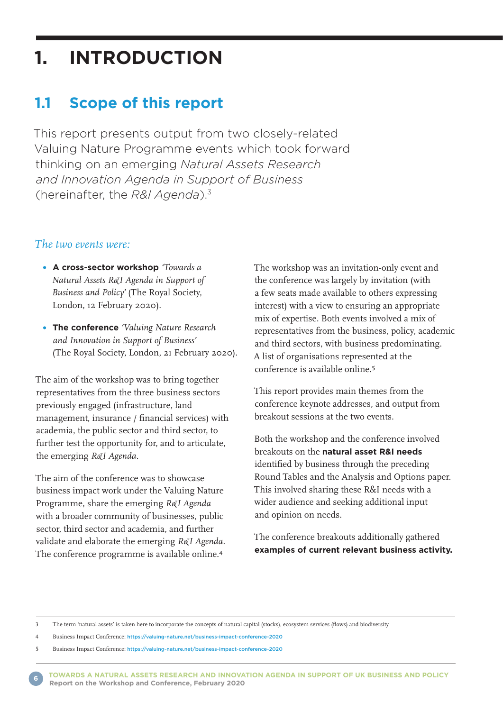# **1. INTRODUCTION**

## **1.1 Scope of this report**

This report presents output from two closely-related Valuing Nature Programme events which took forward thinking on an emerging *Natural Assets Research and Innovation Agenda in Support of Business* (hereinafter, the *R&I Agenda*). 3

#### *The two events were:*

- **A cross-sector workshop** *'Towards a Natural Assets R&I Agenda in Support of Business and Policy'* (The Royal Society, London, 12 February 2020).
- **The conference** *'Valuing Nature Research and Innovation in Support of Business'* (The Royal Society, London, 21 February 2020).

The aim of the workshop was to bring together representatives from the three business sectors previously engaged (infrastructure, land management, insurance / financial services) with academia, the public sector and third sector, to further test the opportunity for, and to articulate, the emerging *R&I Agenda.*

The aim of the conference was to showcase business impact work under the Valuing Nature Programme, share the emerging *R&I Agenda* with a broader community of businesses, public sector, third sector and academia, and further validate and elaborate the emerging *R&I Agenda.* The conference programme is available online.4

The workshop was an invitation-only event and the conference was largely by invitation (with a few seats made available to others expressing interest) with a view to ensuring an appropriate mix of expertise. Both events involved a mix of representatives from the business, policy, academic and third sectors, with business predominating. A list of organisations represented at the conference is available online.5

This report provides main themes from the conference keynote addresses, and output from breakout sessions at the two events.

Both the workshop and the conference involved breakouts on the **natural asset R&I needs** identified by business through the preceding Round Tables and the Analysis and Options paper. This involved sharing these R&I needs with a wider audience and seeking additional input and opinion on needs.

The conference breakouts additionally gathered **examples of current relevant business activity.**

<sup>3</sup> The term 'natural assets' is taken here to incorporate the concepts of natural capital (stocks), ecosystem services (flows) and biodiversity

<sup>4</sup> Business Impact Conference: <https://valuing-nature.net/business-impact-conference-2020>

<sup>5</sup> Business Impact Conference: <https://valuing-nature.net/business-impact-conference-2020>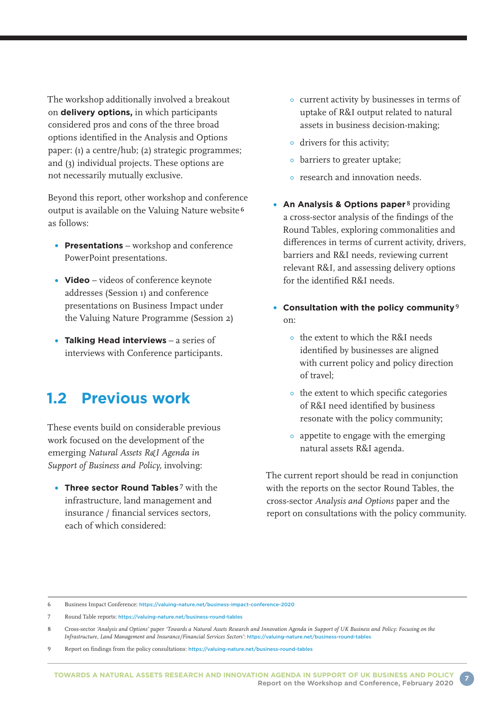The workshop additionally involved a breakout on **delivery options,** in which participants considered pros and cons of the three broad options identified in the Analysis and Options paper: (1) a centre/hub; (2) strategic programmes; and (3) individual projects. These options are not necessarily mutually exclusive.

Beyond this report, other workshop and conference output is available on the Valuing Nature website 6 as follows:

- **Presentations** workshop and conference PowerPoint presentations.
- **Video** videos of conference keynote addresses (Session 1) and conference presentations on Business Impact under the Valuing Nature Programme (Session 2)
- **Talking Head interviews** a series of interviews with Conference participants.

### **1.2 Previous work**

These events build on considerable previous work focused on the development of the emerging *Natural Assets R&I Agenda in Support of Business and Policy,* involving:

**• Three sector Round Tables** 7 with the infrastructure, land management and insurance / financial services sectors, each of which considered:

- current activity by businesses in terms of uptake of R&I output related to natural assets in business decision-making;
- drivers for this activity;
- **•** barriers to greater uptake;
- o research and innovation needs.
- **An Analysis & Options paper**<sup>8</sup> providing a cross-sector analysis of the findings of the Round Tables, exploring commonalities and differences in terms of current activity, drivers, barriers and R&I needs, reviewing current relevant R&I, and assessing delivery options for the identified R&I needs.
- **Consultation with the policy community**9 on:
	- the extent to which the R&I needs identified by businesses are aligned with current policy and policy direction of travel;
	- the extent to which specific categories of R&I need identified by business resonate with the policy community;
	- appetite to engage with the emerging natural assets R&I agenda.

The current report should be read in conjunction with the reports on the sector Round Tables, the cross-sector *Analysis and Options* paper and the report on consultations with the policy community.

<sup>6</sup> Business Impact Conference: <https://valuing-nature.net/business-impact-conference-2020>

<sup>7</sup> Round Table reports: <https://valuing-nature.net/business-round-tables>

<sup>8</sup> Cross-sector *'Analysis and Options'* paper *'Towards a Natural Assets Research and Innovation Agenda in Support of UK Business and Policy: Focusing on the Infrastructure, Land Management and Insurance/Financial Services Sectors':* <https://valuing-nature.net/business-round-tables>

<sup>9</sup> Report on findings from the policy consultations: <https://valuing-nature.net/business-round-tables>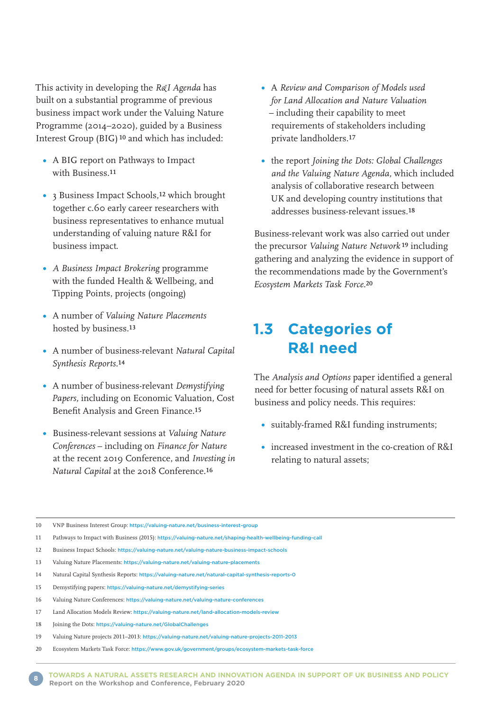This activity in developing the *R&I Agenda* has built on a substantial programme of previous business impact work under the Valuing Nature Programme (2014–2020), guided by a Business Interest Group (BIG)<sup>10</sup> and which has included:

- A BIG report on Pathways to Impact with Business<sup>11</sup>
- 3 Business Impact Schools,12 which brought together c.60 early career researchers with business representatives to enhance mutual understanding of valuing nature R&I for business impact.
- *A Business Impact Brokering* programme with the funded Health & Wellbeing, and Tipping Points, projects (ongoing)
- A number of *Valuing Nature Placements* hosted by business.13
- A number of business-relevant *Natural Capital Synthesis Reports.*14
- A number of business-relevant *Demystifying Papers,* including on Economic Valuation, Cost Benefit Analysis and Green Finance.15
- Business-relevant sessions at *Valuing Nature Conferences* – including on *Finance for Nature* at the recent 2019 Conference, and *Investing in Natural Capital* at the 2018 Conference.16
- A *Review and Comparison of Models used for Land Allocation and Nature Valuation* – including their capability to meet requirements of stakeholders including private landholders.17
- the report *Joining the Dots: Global Challenges and the Valuing Nature Agenda,* which included analysis of collaborative research between UK and developing country institutions that addresses business-relevant issues.18

Business-relevant work was also carried out under the precursor *Valuing Nature Network* 19 including gathering and analyzing the evidence in support of the recommendations made by the Government's *Ecosystem Markets Task Force.*20

## **1.3 Categories of R&I need**

The *Analysis and Options* paper identified a general need for better focusing of natural assets R&I on business and policy needs. This requires:

- suitably-framed R&I funding instruments;
- **•** increased investment in the co-creation of R&I relating to natural assets;

- 11 Pathways to Impact with Business (2015): <https://valuing-nature.net/shaping-health-wellbeing-funding-call>
- 12 Business Impact Schools: <https://valuing-nature.net/valuing-nature-business-impact-schools>
- 13 Valuing Nature Placements: <https://valuing-nature.net/valuing-nature-placements>
- 14 Natural Capital Synthesis Reports: <https://valuing-nature.net/natural-capital-synthesis-reports-0>
- 15 Demystifying papers: <https://valuing-nature.net/demystifying-series>
- 16 Valuing Nature Conferences: <https://valuing-nature.net/valuing-nature-conferences>
- 17 Land Allocation Models Review: <https://valuing-nature.net/land-allocation-models-review>
- 18 Joining the Dots: <https://valuing-nature.net/GlobalChallenges>
- 19 Valuing Nature projects 2011–2013: <https://valuing-nature.net/valuing-nature-projects-2011-2013>
- 20 Ecosystem Markets Task Force: <https://www.gov.uk/government/groups/ecosystem-markets-task-force>

<sup>10</sup> VNP Business Interest Group: <https://valuing-nature.net/business-interest-group>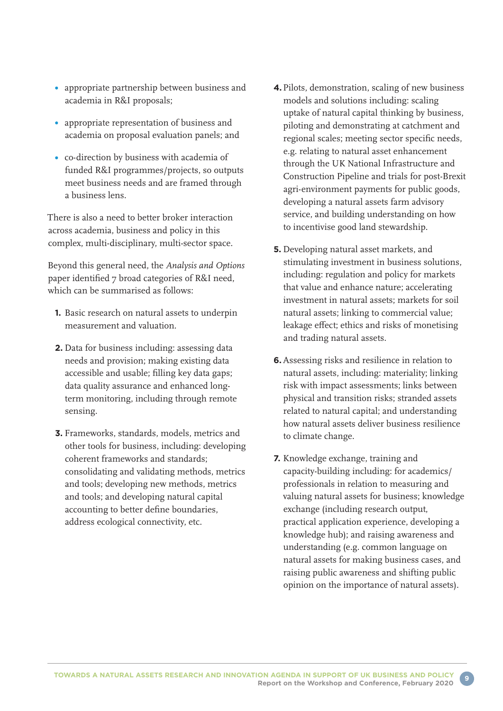- appropriate partnership between business and academia in R&I proposals;
- appropriate representation of business and academia on proposal evaluation panels; and
- co-direction by business with academia of funded R&I programmes/projects, so outputs meet business needs and are framed through a business lens.

There is also a need to better broker interaction across academia, business and policy in this complex, multi-disciplinary, multi-sector space.

Beyond this general need, the *Analysis and Options* paper identified 7 broad categories of R&I need, which can be summarised as follows:

- **1.** Basic research on natural assets to underpin measurement and valuation.
- **2.** Data for business including: assessing data needs and provision; making existing data accessible and usable; filling key data gaps; data quality assurance and enhanced longterm monitoring, including through remote sensing.
- **3.** Frameworks, standards, models, metrics and other tools for business, including: developing coherent frameworks and standards; consolidating and validating methods, metrics and tools; developing new methods, metrics and tools; and developing natural capital accounting to better define boundaries, address ecological connectivity, etc.
- **4.** Pilots, demonstration, scaling of new business models and solutions including: scaling uptake of natural capital thinking by business, piloting and demonstrating at catchment and regional scales; meeting sector specific needs, e.g. relating to natural asset enhancement through the UK National Infrastructure and Construction Pipeline and trials for post-Brexit agri-environment payments for public goods, developing a natural assets farm advisory service, and building understanding on how to incentivise good land stewardship.
- **5.** Developing natural asset markets, and stimulating investment in business solutions, including: regulation and policy for markets that value and enhance nature; accelerating investment in natural assets; markets for soil natural assets; linking to commercial value; leakage effect; ethics and risks of monetising and trading natural assets.
- **6.** Assessing risks and resilience in relation to natural assets, including: materiality; linking risk with impact assessments; links between physical and transition risks; stranded assets related to natural capital; and understanding how natural assets deliver business resilience to climate change.
- **7.** Knowledge exchange, training and capacity-building including: for academics/ professionals in relation to measuring and valuing natural assets for business; knowledge exchange (including research output, practical application experience, developing a knowledge hub); and raising awareness and understanding (e.g. common language on natural assets for making business cases, and raising public awareness and shifting public opinion on the importance of natural assets).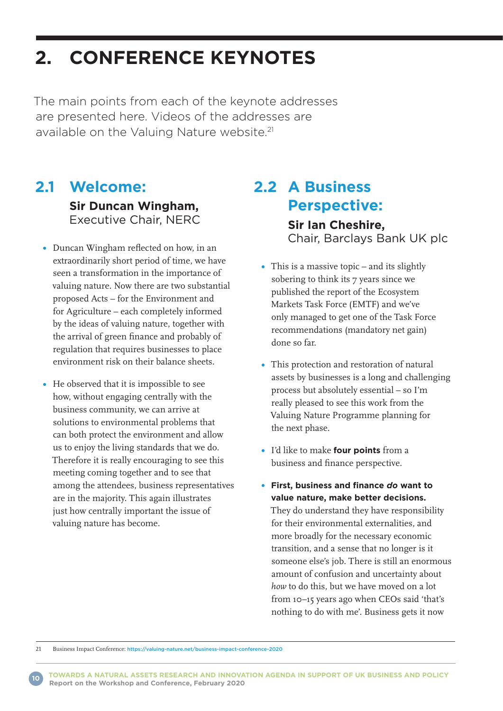# **2. CONFERENCE KEYNOTES**

The main points from each of the keynote addresses are presented here. Videos of the addresses are available on the Valuing Nature website.<sup>21</sup>

## **2.1 Welcome:**

 **Sir Duncan Wingham,**  Executive Chair, NERC

- Duncan Wingham reflected on how, in an extraordinarily short period of time, we have seen a transformation in the importance of valuing nature. Now there are two substantial proposed Acts – for the Environment and for Agriculture – each completely informed by the ideas of valuing nature, together with the arrival of green finance and probably of regulation that requires businesses to place environment risk on their balance sheets.
- He observed that it is impossible to see how, without engaging centrally with the business community, we can arrive at solutions to environmental problems that can both protect the environment and allow us to enjoy the living standards that we do. Therefore it is really encouraging to see this meeting coming together and to see that among the attendees, business representatives are in the majority. This again illustrates just how centrally important the issue of valuing nature has become.

## **2.2 A Business Perspective: Sir Ian Cheshire,**

Chair, Barclays Bank UK plc

- This is a massive topic and its slightly sobering to think its 7 years since we published the report of the Ecosystem Markets Task Force (EMTF) and we've only managed to get one of the Task Force recommendations (mandatory net gain) done so far.
- This protection and restoration of natural assets by businesses is a long and challenging process but absolutely essential – so I'm really pleased to see this work from the Valuing Nature Programme planning for the next phase.
- I'd like to make **four points** from a business and finance perspective.
- **First, business and finance** *do* **want to value nature, make better decisions.** They do understand they have responsibility for their environmental externalities, and more broadly for the necessary economic transition, and a sense that no longer is it someone else's job. There is still an enormous amount of confusion and uncertainty about *how* to do this, but we have moved on a lot from 10–15 years ago when CEOs said 'that's nothing to do with me'. Business gets it now

21 Business Impact Conference: <https://valuing-nature.net/business-impact-conference-2020>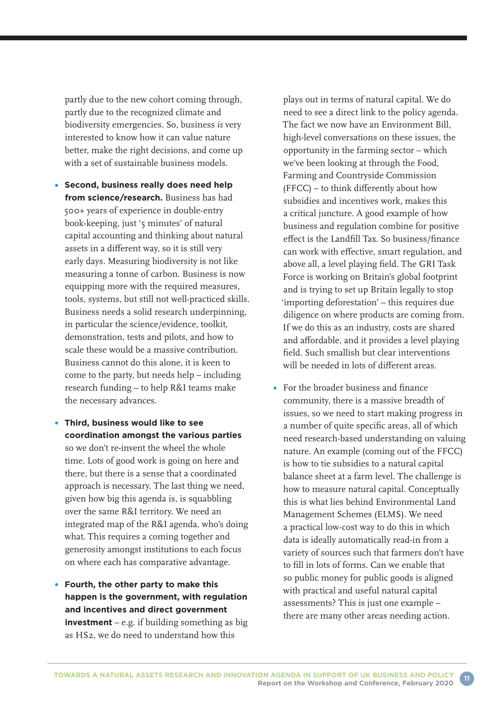partly due to the new cohort coming through, partly due to the recognized climate and biodiversity emergencies. So, business *is* very interested to know how it can value nature better, make the right decisions, and come up with a set of sustainable business models.

- **Second, business really does need help from science/research.** Business has had 500+ years of experience in double-entry book-keeping, just '5 minutes' of natural capital accounting and thinking about natural assets in a different way, so it is still very early days. Measuring biodiversity is not like measuring a tonne of carbon. Business is now equipping more with the required measures, tools, systems, but still not well-practiced skills. Business needs a solid research underpinning, in particular the science/evidence, toolkit, demonstration, tests and pilots, and how to scale these would be a massive contribution. Business cannot do this alone, it is keen to come to the party, but needs help – including research funding – to help R&I teams make the necessary advances.
- **Third, business would like to see coordination amongst the various parties** so we don't re-invent the wheel the whole time. Lots of good work is going on here and there, but there is a sense that a coordinated approach is necessary. The last thing we need, given how big this agenda is, is squabbling over the same R&I territory. We need an integrated map of the R&I agenda, who's doing what. This requires a coming together and generosity amongst institutions to each focus on where each has comparative advantage.
- **Fourth, the other party to make this happen is the government, with regulation and incentives and direct government investment** – e.g. if building something as big as HS2, we do need to understand how this

plays out in terms of natural capital. We do need to see a direct link to the policy agenda. The fact we now have an Environment Bill, high-level conversations on these issues, the opportunity in the farming sector – which we've been looking at through the Food, Farming and Countryside Commission (FFCC) – to think differently about how subsidies and incentives work, makes this a critical juncture. A good example of how business and regulation combine for positive effect is the Landfill Tax. So business/finance can work with effective, smart regulation, and above all, a level playing field. The GRI Task Force is working on Britain's global footprint and is trying to set up Britain legally to stop 'importing deforestation' – this requires due diligence on where products are coming from. If we do this as an industry, costs are shared and affordable, and it provides a level playing field. Such smallish but clear interventions will be needed in lots of different areas.

For the broader business and finance community, there is a massive breadth of issues, so we need to start making progress in a number of quite specific areas, all of which need research-based understanding on valuing nature. An example (coming out of the FFCC) is how to tie subsidies to a natural capital balance sheet at a farm level. The challenge is how to measure natural capital. Conceptually this is what lies behind Environmental Land Management Schemes (ELMS). We need a practical low-cost way to do this in which data is ideally automatically read-in from a variety of sources such that farmers don't have to fill in lots of forms. Can we enable that so public money for public goods is aligned with practical and useful natural capital assessments? This is just one example – there are many other areas needing action.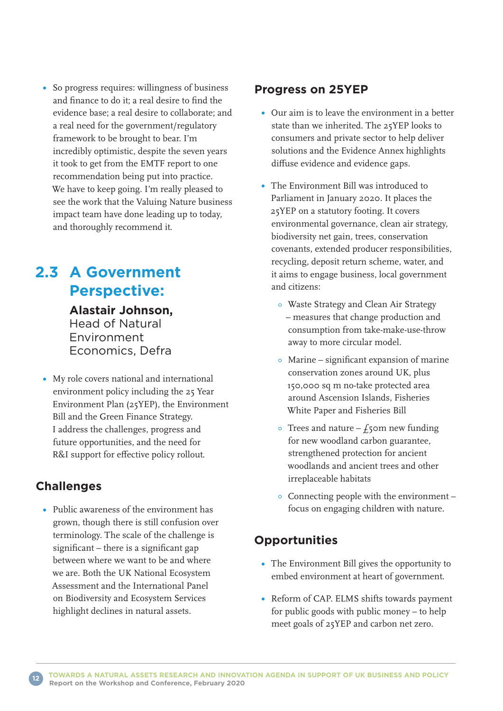• So progress requires: willingness of business and finance to do it; a real desire to find the evidence base; a real desire to collaborate; and a real need for the government/regulatory framework to be brought to bear. I'm incredibly optimistic, despite the seven years it took to get from the EMTF report to one recommendation being put into practice. We have to keep going. I'm really pleased to see the work that the Valuing Nature business impact team have done leading up to today, and thoroughly recommend it.

## **2.3 A Government Perspective:**

 **Alastair Johnson,** Head of Natural Environment Economics, Defra

My role covers national and international environment policy including the 25 Year Environment Plan (25YEP), the Environment Bill and the Green Finance Strategy. I address the challenges, progress and future opportunities, and the need for R&I support for effective policy rollout.

### **Challenges**

Public awareness of the environment has grown, though there is still confusion over terminology. The scale of the challenge is significant – there is a significant gap between where we want to be and where we are. Both the UK National Ecosystem Assessment and the International Panel on Biodiversity and Ecosystem Services highlight declines in natural assets.

### **Progress on 25YEP**

- Our aim is to leave the environment in a better state than we inherited. The 25YEP looks to consumers and private sector to help deliver solutions and the Evidence Annex highlights diffuse evidence and evidence gaps.
- The Environment Bill was introduced to Parliament in January 2020. It places the 25YEP on a statutory footing. It covers environmental governance, clean air strategy, biodiversity net gain, trees, conservation covenants, extended producer responsibilities, recycling, deposit return scheme, water, and it aims to engage business, local government and citizens:
	- Waste Strategy and Clean Air Strategy – measures that change production and consumption from take-make-use-throw away to more circular model.
	- Marine significant expansion of marine conservation zones around UK, plus 150,000 sq m no-take protected area around Ascension Islands, Fisheries White Paper and Fisheries Bill
	- $\circ$  Trees and nature  $f_5$ om new funding for new woodland carbon guarantee, strengthened protection for ancient woodlands and ancient trees and other irreplaceable habitats
	- Connecting people with the environment focus on engaging children with nature.

### **Opportunities**

- The Environment Bill gives the opportunity to embed environment at heart of government.
- Reform of CAP. ELMS shifts towards payment for public goods with public money – to help meet goals of 25YEP and carbon net zero.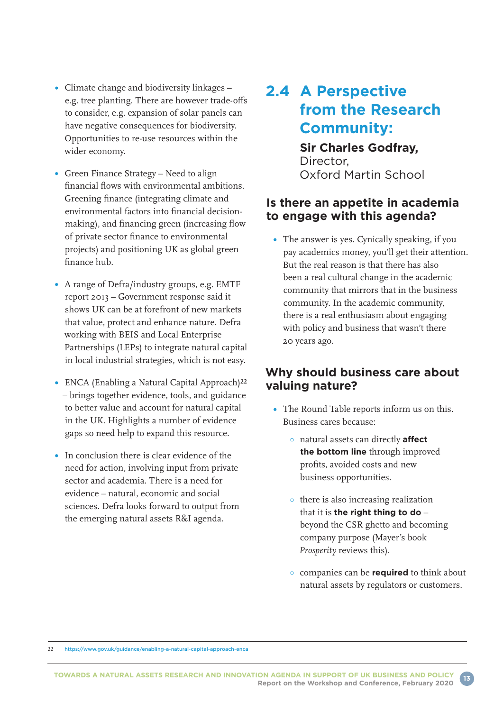- Climate change and biodiversity linkages e.g. tree planting. There are however trade-offs to consider, e.g. expansion of solar panels can have negative consequences for biodiversity. Opportunities to re-use resources within the wider economy.
- Green Finance Strategy Need to align financial flows with environmental ambitions. Greening finance (integrating climate and environmental factors into financial decisionmaking), and financing green (increasing flow of private sector finance to environmental projects) and positioning UK as global green finance hub.
- A range of Defra/industry groups, e.g. EMTF report 2013 – Government response said it shows UK can be at forefront of new markets that value, protect and enhance nature. Defra working with BEIS and Local Enterprise Partnerships (LEPs) to integrate natural capital in local industrial strategies, which is not easy.
- ENCA (Enabling a Natural Capital Approach)22 – brings together evidence, tools, and guidance to better value and account for natural capital in the UK. Highlights a number of evidence gaps so need help to expand this resource.
- In conclusion there is clear evidence of the need for action, involving input from private sector and academia. There is a need for evidence – natural, economic and social sciences. Defra looks forward to output from the emerging natural assets R&I agenda.

# **2.4 A Perspective from the Research Community:**

### **Sir Charles Godfray,**  Director, Oxford Martin School

### **Is there an appetite in academia to engage with this agenda?**

• The answer is yes. Cynically speaking, if you pay academics money, you'll get their attention. But the real reason is that there has also been a real cultural change in the academic community that mirrors that in the business community. In the academic community, there is a real enthusiasm about engaging with policy and business that wasn't there 20 years ago.

### **Why should business care about valuing nature?**

- The Round Table reports inform us on this. Business cares because:
	- natural assets can directly **affect the bottom line** through improved profits, avoided costs and new business opportunities.
	- **•** there is also increasing realization that it is **the right thing to do** – beyond the CSR ghetto and becoming company purpose (Mayer's book *Prosperity* reviews this).
	- companies can be **required** to think about natural assets by regulators or customers.

22 <https://www.gov.uk/guidance/enabling-a-natural-capital-approach-enca>

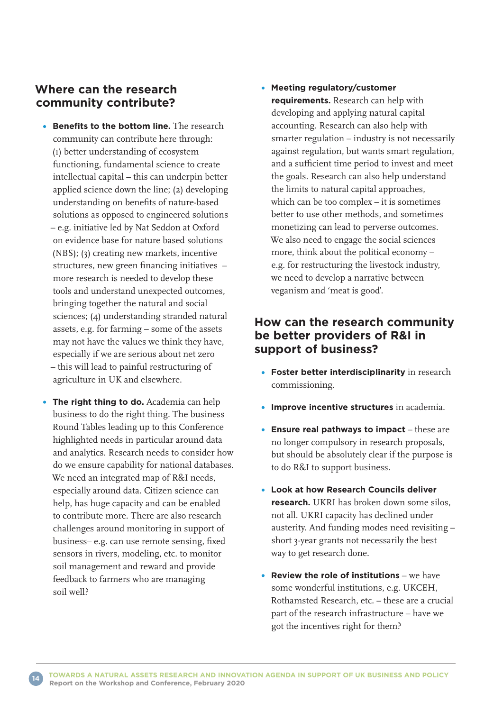### **Where can the research community contribute?**

- **Benefits to the bottom line.** The research community can contribute here through: (1) better understanding of ecosystem functioning, fundamental science to create intellectual capital – this can underpin better applied science down the line; (2) developing understanding on benefits of nature-based solutions as opposed to engineered solutions – e.g. initiative led by Nat Seddon at Oxford on evidence base for nature based solutions (NBS); (3) creating new markets, incentive structures, new green financing initiatives – more research is needed to develop these tools and understand unexpected outcomes, bringing together the natural and social sciences; (4) understanding stranded natural assets, e.g. for farming – some of the assets may not have the values we think they have, especially if we are serious about net zero – this will lead to painful restructuring of agriculture in UK and elsewhere.
- **The right thing to do.** Academia can help business to do the right thing. The business Round Tables leading up to this Conference highlighted needs in particular around data and analytics. Research needs to consider how do we ensure capability for national databases. We need an integrated map of R&I needs, especially around data. Citizen science can help, has huge capacity and can be enabled to contribute more. There are also research challenges around monitoring in support of business– e.g. can use remote sensing, fixed sensors in rivers, modeling, etc. to monitor soil management and reward and provide feedback to farmers who are managing soil well?

#### **Meeting regulatory/customer requirements.** Research can help with developing and applying natural capital accounting. Research can also help with smarter regulation – industry is not necessarily against regulation, but wants smart regulation, and a sufficient time period to invest and meet the goals. Research can also help understand the limits to natural capital approaches, which can be too complex – it is sometimes better to use other methods, and sometimes monetizing can lead to perverse outcomes. We also need to engage the social sciences more, think about the political economy – e.g. for restructuring the livestock industry, we need to develop a narrative between veganism and 'meat is good'.

### **How can the research community be better providers of R&I in support of business?**

- **Foster better interdisciplinarity** in research commissioning.
- **Improve incentive structures** in academia.
- **Ensure real pathways to impact** these are no longer compulsory in research proposals, but should be absolutely clear if the purpose is to do R&I to support business.
- **Look at how Research Councils deliver research.** UKRI has broken down some silos, not all. UKRI capacity has declined under austerity. And funding modes need revisiting – short 3-year grants not necessarily the best way to get research done.
- **Review the role of institutions** we have some wonderful institutions, e.g. UKCEH, Rothamsted Research, etc. – these are a crucial part of the research infrastructure – have we got the incentives right for them?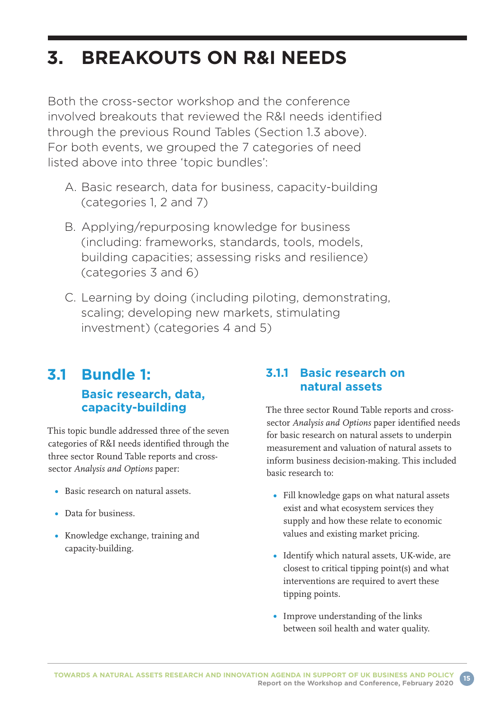# **3. BREAKOUTS ON R&I NEEDS**

Both the cross-sector workshop and the conference involved breakouts that reviewed the R&I needs identified through the previous Round Tables (Section 1.3 above). For both events, we grouped the 7 categories of need listed above into three 'topic bundles':

- A. Basic research, data for business, capacity-building (categories 1, 2 and 7)
- B. Applying/repurposing knowledge for business (including: frameworks, standards, tools, models, building capacities; assessing risks and resilience) (categories 3 and 6)
- C. Learning by doing (including piloting, demonstrating, scaling; developing new markets, stimulating investment) (categories 4 and 5)

### **3.1 Bundle 1: Basic research, data, capacity-building**

This topic bundle addressed three of the seven categories of R&I needs identified through the three sector Round Table reports and crosssector *Analysis and Options* paper:

- Basic research on natural assets.
- Data for business.
- Knowledge exchange, training and capacity-building.

### **3.1.1 Basic research on natural assets**

The three sector Round Table reports and crosssector *Analysis and Options* paper identified needs for basic research on natural assets to underpin measurement and valuation of natural assets to inform business decision-making. This included basic research to:

- Fill knowledge gaps on what natural assets exist and what ecosystem services they supply and how these relate to economic values and existing market pricing.
- Identify which natural assets, UK-wide, are closest to critical tipping point(s) and what interventions are required to avert these tipping points.
- Improve understanding of the links between soil health and water quality.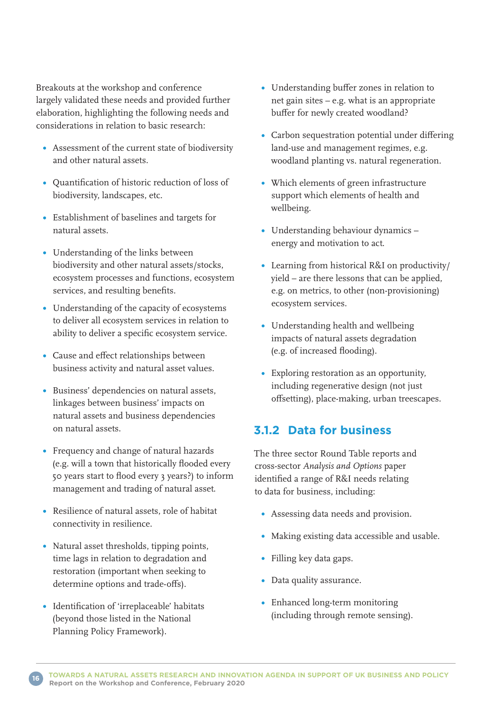Breakouts at the workshop and conference largely validated these needs and provided further elaboration, highlighting the following needs and considerations in relation to basic research:

- Assessment of the current state of biodiversity and other natural assets.
- Quantification of historic reduction of loss of biodiversity, landscapes, etc.
- Establishment of baselines and targets for natural assets.
- Understanding of the links between biodiversity and other natural assets/stocks, ecosystem processes and functions, ecosystem services, and resulting benefits.
- Understanding of the capacity of ecosystems to deliver all ecosystem services in relation to ability to deliver a specific ecosystem service.
- Cause and effect relationships between business activity and natural asset values.
- Business' dependencies on natural assets, linkages between business' impacts on natural assets and business dependencies on natural assets.
- Frequency and change of natural hazards (e.g. will a town that historically flooded every 50 years start to flood every 3 years?) to inform management and trading of natural asset.
- Resilience of natural assets, role of habitat connectivity in resilience.
- Natural asset thresholds, tipping points, time lags in relation to degradation and restoration (important when seeking to determine options and trade-offs).
- Identification of 'irreplaceable' habitats (beyond those listed in the National Planning Policy Framework).
- Understanding buffer zones in relation to net gain sites – e.g. what is an appropriate buffer for newly created woodland?
- Carbon sequestration potential under differing land-use and management regimes, e.g. woodland planting vs. natural regeneration.
- Which elements of green infrastructure support which elements of health and wellbeing.
- Understanding behaviour dynamics energy and motivation to act.
- Learning from historical R&I on productivity/ yield – are there lessons that can be applied, e.g. on metrics, to other (non-provisioning) ecosystem services.
- Understanding health and wellbeing impacts of natural assets degradation (e.g. of increased flooding).
- Exploring restoration as an opportunity, including regenerative design (not just offsetting), place-making, urban treescapes.

### **3.1.2 Data for business**

The three sector Round Table reports and cross-sector *Analysis and Options* paper identified a range of R&I needs relating to data for business, including:

- Assessing data needs and provision.
- Making existing data accessible and usable.
- Filling key data gaps.
- Data quality assurance.
- Enhanced long-term monitoring (including through remote sensing).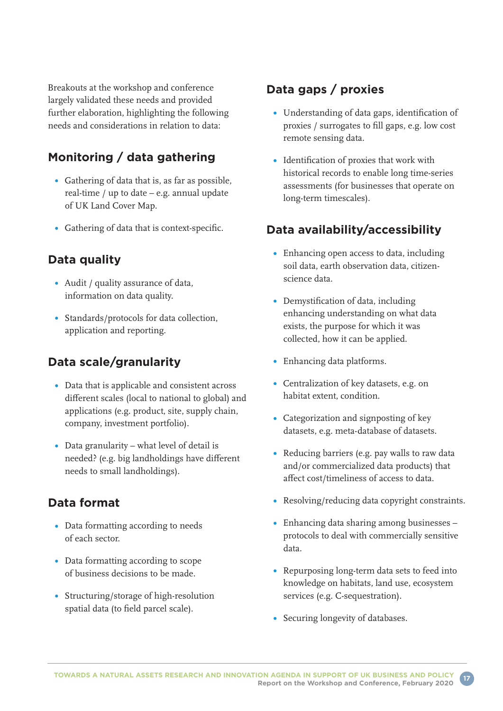Breakouts at the workshop and conference largely validated these needs and provided further elaboration, highlighting the following needs and considerations in relation to data:

### **Monitoring / data gathering**

- Gathering of data that is, as far as possible, real-time / up to date – e.g. annual update of UK Land Cover Map.
- Gathering of data that is context-specific.

### **Data quality**

- Audit / quality assurance of data, information on data quality.
- Standards/protocols for data collection, application and reporting.

### **Data scale/granularity**

- Data that is applicable and consistent across different scales (local to national to global) and applications (e.g. product, site, supply chain, company, investment portfolio).
- Data granularity what level of detail is needed? (e.g. big landholdings have different needs to small landholdings).

### **Data format**

- **•** Data formatting according to needs of each sector.
- Data formatting according to scope of business decisions to be made.
- Structuring/storage of high-resolution spatial data (to field parcel scale).

### **Data gaps / proxies**

- Understanding of data gaps, identification of proxies / surrogates to fill gaps, e.g. low cost remote sensing data.
- Identification of proxies that work with historical records to enable long time-series assessments (for businesses that operate on long-term timescales).

### **Data availability/accessibility**

- Enhancing open access to data, including soil data, earth observation data, citizenscience data.
- Demystification of data, including enhancing understanding on what data exists, the purpose for which it was collected, how it can be applied.
- Enhancing data platforms.
- Centralization of key datasets, e.g. on habitat extent, condition.
- Categorization and signposting of key datasets, e.g. meta-database of datasets.
- Reducing barriers (e.g. pay walls to raw data and/or commercialized data products) that affect cost/timeliness of access to data.
- Resolving/reducing data copyright constraints.
- Enhancing data sharing among businesses protocols to deal with commercially sensitive data.
- Repurposing long-term data sets to feed into knowledge on habitats, land use, ecosystem services (e.g. C-sequestration).
- Securing longevity of databases.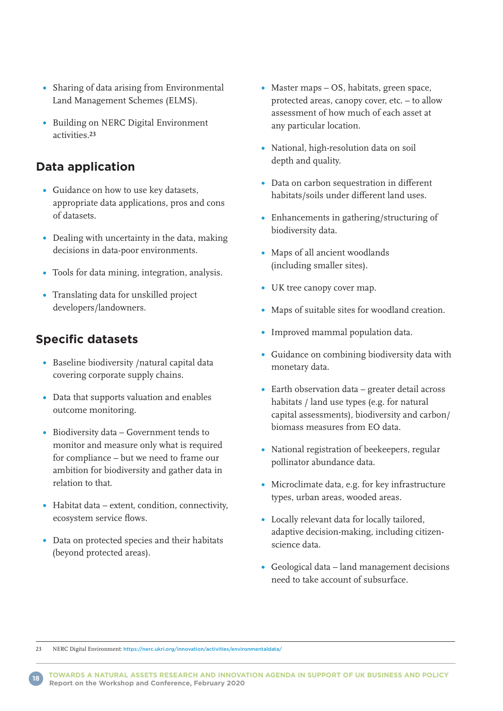- Sharing of data arising from Environmental Land Management Schemes (ELMS).
- Building on NERC Digital Environment activities.23

### **Data application**

- Guidance on how to use key datasets, appropriate data applications, pros and cons of datasets.
- Dealing with uncertainty in the data, making decisions in data-poor environments.
- Tools for data mining, integration, analysis.
- Translating data for unskilled project developers/landowners.

### **Specific datasets**

- Baseline biodiversity /natural capital data covering corporate supply chains.
- Data that supports valuation and enables outcome monitoring.
- Biodiversity data Government tends to monitor and measure only what is required for compliance – but we need to frame our ambition for biodiversity and gather data in relation to that.
- Habitat data extent, condition, connectivity, ecosystem service flows.
- Data on protected species and their habitats (beyond protected areas).
- Master maps OS, habitats, green space, protected areas, canopy cover, etc. – to allow assessment of how much of each asset at any particular location.
- National, high-resolution data on soil depth and quality.
- Data on carbon sequestration in different habitats/soils under different land uses.
- Enhancements in gathering/structuring of biodiversity data.
- Maps of all ancient woodlands (including smaller sites).
- UK tree canopy cover map.
- Maps of suitable sites for woodland creation.
- Improved mammal population data.
- Guidance on combining biodiversity data with monetary data.
- Earth observation data greater detail across habitats / land use types (e.g. for natural capital assessments), biodiversity and carbon/ biomass measures from EO data.
- National registration of beekeepers, regular pollinator abundance data.
- Microclimate data, e.g. for key infrastructure types, urban areas, wooded areas.
- Locally relevant data for locally tailored, adaptive decision-making, including citizenscience data.
- Geological data land management decisions need to take account of subsurface.

23 NERC Digital Environment: <https://nerc.ukri.org/innovation/activities/environmentaldata/>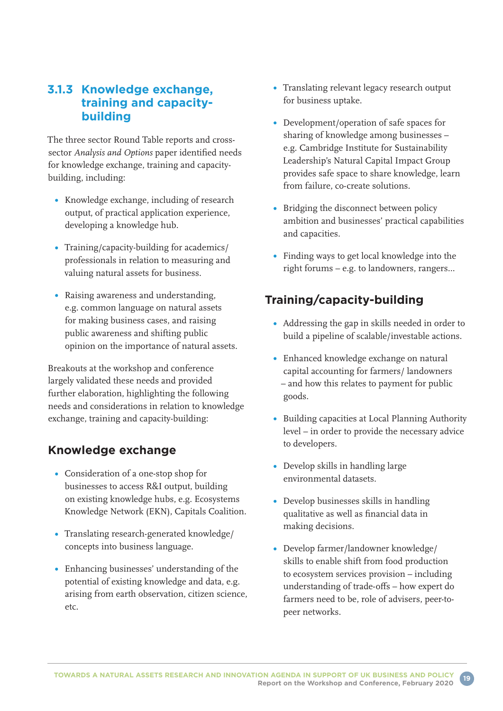### **3.1.3 Knowledge exchange, training and capacitybuilding**

The three sector Round Table reports and crosssector *Analysis and Options* paper identified needs for knowledge exchange, training and capacitybuilding, including:

- Knowledge exchange, including of research output, of practical application experience, developing a knowledge hub.
- Training/capacity-building for academics/ professionals in relation to measuring and valuing natural assets for business.
- Raising awareness and understanding, e.g. common language on natural assets for making business cases, and raising public awareness and shifting public opinion on the importance of natural assets.

Breakouts at the workshop and conference largely validated these needs and provided further elaboration, highlighting the following needs and considerations in relation to knowledge exchange, training and capacity-building:

### **Knowledge exchange**

- Consideration of a one-stop shop for businesses to access R&I output, building on existing knowledge hubs, e.g. Ecosystems Knowledge Network (EKN), Capitals Coalition.
- Translating research-generated knowledge/ concepts into business language.
- Enhancing businesses' understanding of the potential of existing knowledge and data, e.g. arising from earth observation, citizen science, etc.
- Translating relevant legacy research output for business uptake.
- Development/operation of safe spaces for sharing of knowledge among businesses – e.g. Cambridge Institute for Sustainability Leadership's Natural Capital Impact Group provides safe space to share knowledge, learn from failure, co-create solutions.
- Bridging the disconnect between policy ambition and businesses' practical capabilities and capacities.
- Finding ways to get local knowledge into the right forums – e.g. to landowners, rangers…

### **Training/capacity-building**

- Addressing the gap in skills needed in order to build a pipeline of scalable/investable actions.
- Enhanced knowledge exchange on natural capital accounting for farmers/ landowners – and how this relates to payment for public goods.
- Building capacities at Local Planning Authority level – in order to provide the necessary advice to developers.
- Develop skills in handling large environmental datasets.
- Develop businesses skills in handling qualitative as well as financial data in making decisions.
- Develop farmer/landowner knowledge/ skills to enable shift from food production to ecosystem services provision – including understanding of trade-offs – how expert do farmers need to be, role of advisers, peer-topeer networks.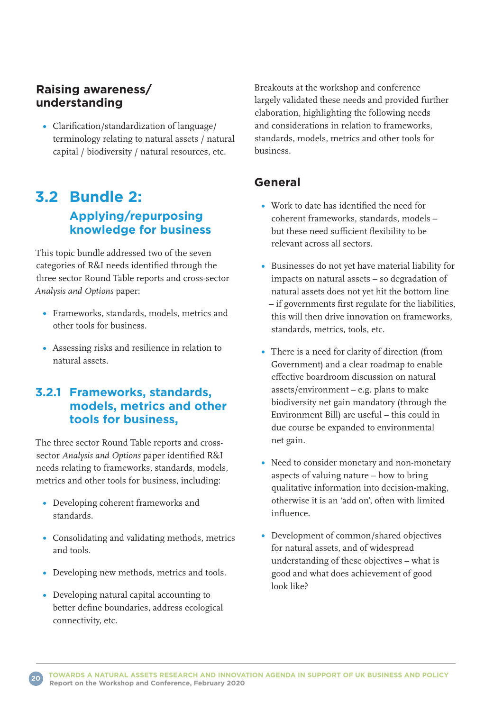### **Raising awareness/ understanding**

Clarification/standardization of language/ terminology relating to natural assets / natural capital / biodiversity / natural resources, etc.

## **3.2 Bundle 2: Applying/repurposing knowledge for business**

This topic bundle addressed two of the seven categories of R&I needs identified through the three sector Round Table reports and cross-sector *Analysis and Options* paper:

- Frameworks, standards, models, metrics and other tools for business.
- Assessing risks and resilience in relation to natural assets.

### **3.2.1 Frameworks, standards, models, metrics and other tools for business,**

The three sector Round Table reports and crosssector *Analysis and Options* paper identified R&I needs relating to frameworks, standards, models, metrics and other tools for business, including:

- Developing coherent frameworks and standards.
- Consolidating and validating methods, metrics and tools.
- Developing new methods, metrics and tools.
- Developing natural capital accounting to better define boundaries, address ecological connectivity, etc.

Breakouts at the workshop and conference largely validated these needs and provided further elaboration, highlighting the following needs and considerations in relation to frameworks, standards, models, metrics and other tools for business.

### **General**

- Work to date has identified the need for coherent frameworks, standards, models – but these need sufficient flexibility to be relevant across all sectors.
- Businesses do not yet have material liability for impacts on natural assets – so degradation of natural assets does not yet hit the bottom line – if governments first regulate for the liabilities, this will then drive innovation on frameworks, standards, metrics, tools, etc.
- There is a need for clarity of direction (from Government) and a clear roadmap to enable effective boardroom discussion on natural assets/environment – e.g. plans to make biodiversity net gain mandatory (through the Environment Bill) are useful – this could in due course be expanded to environmental net gain.
- Need to consider monetary and non-monetary aspects of valuing nature – how to bring qualitative information into decision-making, otherwise it is an 'add on', often with limited influence.
- Development of common/shared objectives for natural assets, and of widespread understanding of these objectives – what is good and what does achievement of good look like?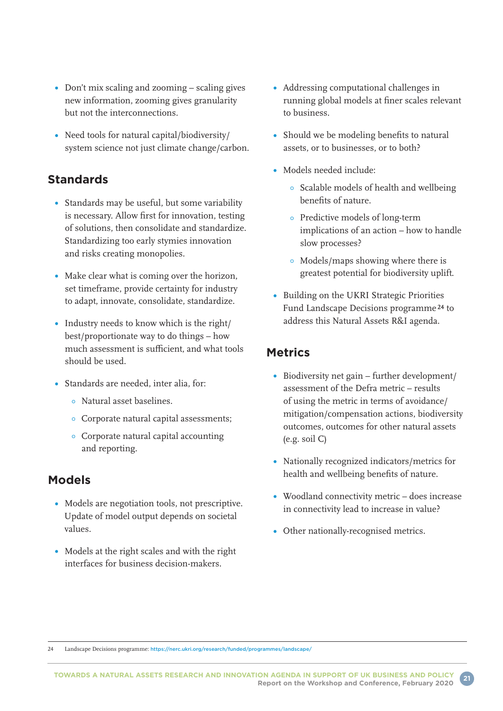- Don't mix scaling and zooming scaling gives new information, zooming gives granularity but not the interconnections.
- Need tools for natural capital/biodiversity/ system science not just climate change/carbon.

### **Standards**

- Standards may be useful, but some variability is necessary. Allow first for innovation, testing of solutions, then consolidate and standardize. Standardizing too early stymies innovation and risks creating monopolies.
- Make clear what is coming over the horizon, set timeframe, provide certainty for industry to adapt, innovate, consolidate, standardize.
- Industry needs to know which is the right/ best/proportionate way to do things – how much assessment is sufficient, and what tools should be used.
- Standards are needed, inter alia, for:
	- Natural asset baselines.
	- Corporate natural capital assessments;
	- Corporate natural capital accounting and reporting.

### **Models**

- Models are negotiation tools, not prescriptive. Update of model output depends on societal values.
- Models at the right scales and with the right interfaces for business decision-makers.
- Addressing computational challenges in running global models at finer scales relevant to business.
- **•** Should we be modeling benefits to natural assets, or to businesses, or to both?
- Models needed include:
	- Scalable models of health and wellbeing benefits of nature.
	- Predictive models of long-term implications of an action – how to handle slow processes?
	- Models/maps showing where there is greatest potential for biodiversity uplift.
- Building on the UKRI Strategic Priorities Fund Landscape Decisions programme 24 to address this Natural Assets R&I agenda.

### **Metrics**

- Biodiversity net gain further development/ assessment of the Defra metric – results of using the metric in terms of avoidance/ mitigation/compensation actions, biodiversity outcomes, outcomes for other natural assets (e.g. soil C)
- Nationally recognized indicators/metrics for health and wellbeing benefits of nature.
- Woodland connectivity metric does increase in connectivity lead to increase in value?
- Other nationally-recognised metrics.

24 Landscape Decisions programme: <https://nerc.ukri.org/research/funded/programmes/landscape/>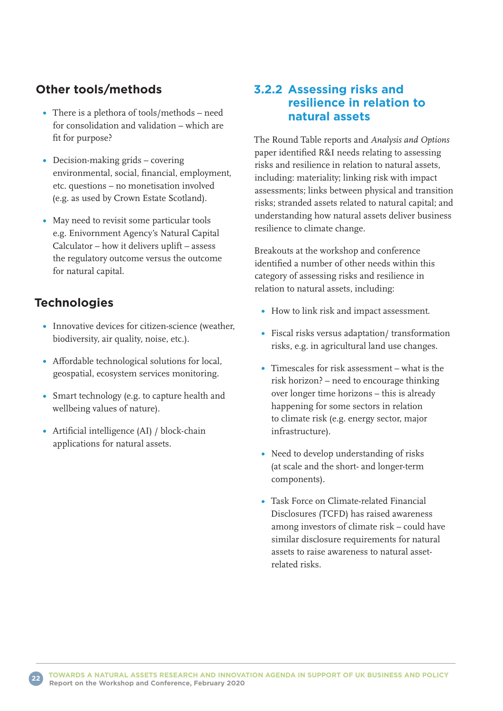### **Other tools/methods**

- There is a plethora of tools/methods need for consolidation and validation – which are fit for purpose?
- Decision-making grids covering environmental, social, financial, employment, etc. questions – no monetisation involved (e.g. as used by Crown Estate Scotland).
- May need to revisit some particular tools e.g. Enivornment Agency's Natural Capital Calculator – how it delivers uplift – assess the regulatory outcome versus the outcome for natural capital.

### **Technologies**

- Innovative devices for citizen-science (weather, biodiversity, air quality, noise, etc.).
- Affordable technological solutions for local, geospatial, ecosystem services monitoring.
- Smart technology (e.g. to capture health and wellbeing values of nature).
- Artificial intelligence (AI) / block-chain applications for natural assets.

### **3.2.2 Assessing risks and resilience in relation to natural assets**

The Round Table reports and *Analysis and Options* paper identified R&I needs relating to assessing risks and resilience in relation to natural assets, including: materiality; linking risk with impact assessments; links between physical and transition risks; stranded assets related to natural capital; and understanding how natural assets deliver business resilience to climate change.

Breakouts at the workshop and conference identified a number of other needs within this category of assessing risks and resilience in relation to natural assets, including:

- How to link risk and impact assessment.
- Fiscal risks versus adaptation/ transformation risks, e.g. in agricultural land use changes.
- Timescales for risk assessment what is the risk horizon? – need to encourage thinking over longer time horizons – this is already happening for some sectors in relation to climate risk (e.g. energy sector, major infrastructure).
- Need to develop understanding of risks (at scale and the short- and longer-term components).
- Task Force on Climate-related Financial Disclosures (TCFD) has raised awareness among investors of climate risk – could have similar disclosure requirements for natural assets to raise awareness to natural assetrelated risks.

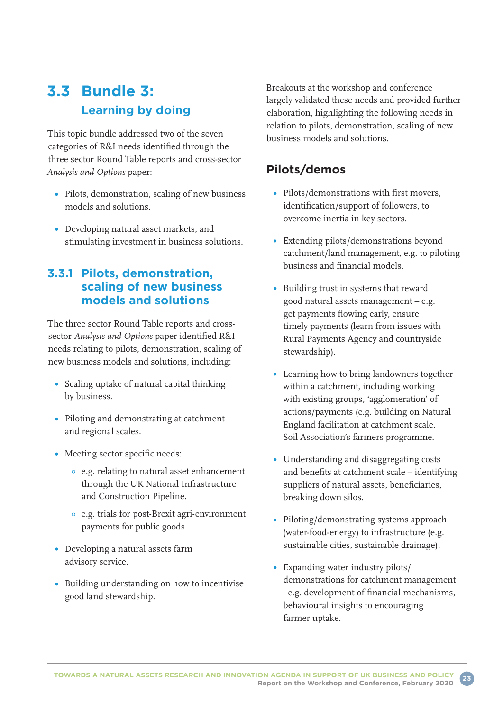## **3.3 Bundle 3: Learning by doing**

This topic bundle addressed two of the seven categories of R&I needs identified through the three sector Round Table reports and cross-sector *Analysis and Options* paper:

- Pilots, demonstration, scaling of new business models and solutions.
- Developing natural asset markets, and stimulating investment in business solutions.

### **3.3.1 Pilots, demonstration, scaling of new business models and solutions**

The three sector Round Table reports and crosssector *Analysis and Options* paper identified R&I needs relating to pilots, demonstration, scaling of new business models and solutions, including:

- Scaling uptake of natural capital thinking by business.
- Piloting and demonstrating at catchment and regional scales.
- Meeting sector specific needs:
	- e.g. relating to natural asset enhancement through the UK National Infrastructure and Construction Pipeline.
	- e.g. trials for post-Brexit agri-environment payments for public goods.
- Developing a natural assets farm advisory service.
- Building understanding on how to incentivise good land stewardship.

Breakouts at the workshop and conference largely validated these needs and provided further elaboration, highlighting the following needs in relation to pilots, demonstration, scaling of new business models and solutions.

### **Pilots/demos**

- Pilots/demonstrations with first movers, identification/support of followers, to overcome inertia in key sectors.
- Extending pilots/demonstrations beyond catchment/land management, e.g. to piloting business and financial models.
- Building trust in systems that reward good natural assets management – e.g. get payments flowing early, ensure timely payments (learn from issues with Rural Payments Agency and countryside stewardship).
- Learning how to bring landowners together within a catchment, including working with existing groups, 'agglomeration' of actions/payments (e.g. building on Natural England facilitation at catchment scale, Soil Association's farmers programme.
- Understanding and disaggregating costs and benefits at catchment scale – identifying suppliers of natural assets, beneficiaries, breaking down silos.
- Piloting/demonstrating systems approach (water-food-energy) to infrastructure (e.g. sustainable cities, sustainable drainage).
- Expanding water industry pilots/ demonstrations for catchment management – e.g. development of financial mechanisms, behavioural insights to encouraging farmer uptake.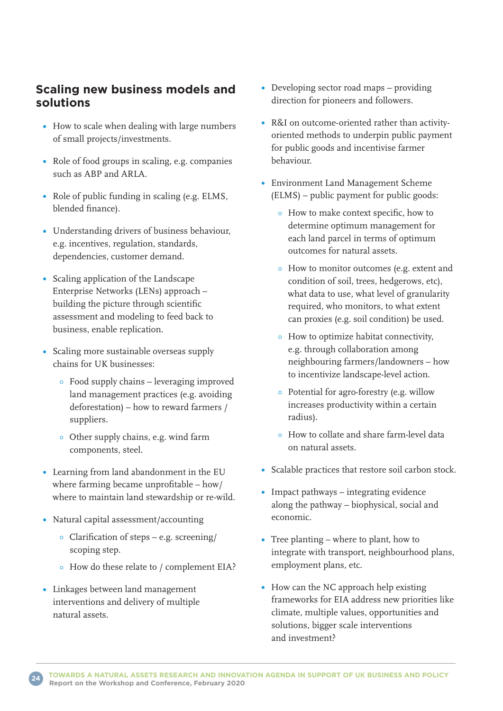### **Scaling new business models and solutions**

- How to scale when dealing with large numbers of small projects/investments.
- Role of food groups in scaling, e.g. companies such as ABP and ARLA.
- Role of public funding in scaling (e.g. ELMS, blended finance).
- Understanding drivers of business behaviour, e.g. incentives, regulation, standards, dependencies, customer demand.
- Scaling application of the Landscape Enterprise Networks (LENs) approach – building the picture through scientific assessment and modeling to feed back to business, enable replication.
- Scaling more sustainable overseas supply chains for UK businesses:
	- Food supply chains leveraging improved land management practices (e.g. avoiding deforestation) – how to reward farmers / suppliers.
	- Other supply chains, e.g. wind farm components, steel.
- Learning from land abandonment in the EU where farming became unprofitable – how/ where to maintain land stewardship or re-wild.
- Natural capital assessment/accounting
	- Clarification of steps e.g. screening/ scoping step.
	- How do these relate to / complement EIA?
- Linkages between land management interventions and delivery of multiple natural assets.
- Developing sector road maps providing direction for pioneers and followers.
- R&I on outcome-oriented rather than activityoriented methods to underpin public payment for public goods and incentivise farmer behaviour.
- Environment Land Management Scheme (ELMS) – public payment for public goods:
	- How to make context specific, how to determine optimum management for each land parcel in terms of optimum outcomes for natural assets.
	- How to monitor outcomes (e.g. extent and condition of soil, trees, hedgerows, etc), what data to use, what level of granularity required, who monitors, to what extent can proxies (e.g. soil condition) be used.
	- How to optimize habitat connectivity, e.g. through collaboration among neighbouring farmers/landowners – how to incentivize landscape-level action.
	- Potential for agro-forestry (e.g. willow increases productivity within a certain radius).
	- How to collate and share farm-level data on natural assets.
- Scalable practices that restore soil carbon stock.
- Impact pathways integrating evidence along the pathway – biophysical, social and economic.
- Tree planting where to plant, how to integrate with transport, neighbourhood plans, employment plans, etc.
- How can the NC approach help existing frameworks for EIA address new priorities like climate, multiple values, opportunities and solutions, bigger scale interventions and investment?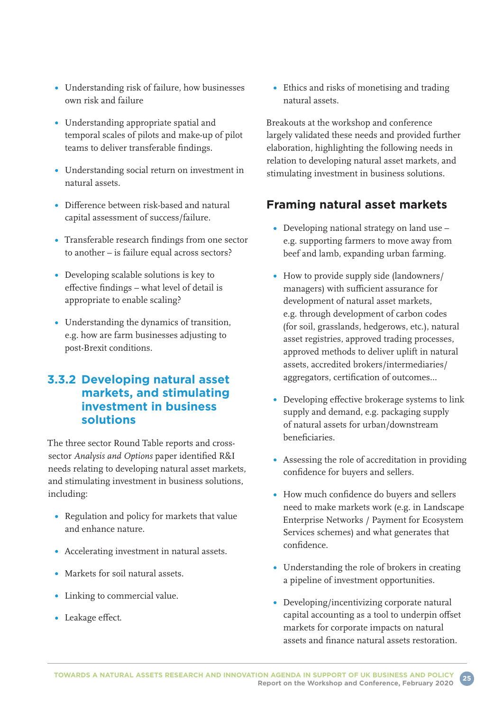- Understanding risk of failure, how businesses own risk and failure
- Understanding appropriate spatial and temporal scales of pilots and make-up of pilot teams to deliver transferable findings.
- Understanding social return on investment in natural assets.
- Difference between risk-based and natural capital assessment of success/failure.
- Transferable research findings from one sector to another – is failure equal across sectors?
- Developing scalable solutions is key to effective findings – what level of detail is appropriate to enable scaling?
- Understanding the dynamics of transition, e.g. how are farm businesses adjusting to post-Brexit conditions.

### **3.3.2 Developing natural asset markets, and stimulating investment in business solutions**

The three sector Round Table reports and crosssector *Analysis and Options* paper identified R&I needs relating to developing natural asset markets, and stimulating investment in business solutions, including:

- Regulation and policy for markets that value and enhance nature.
- Accelerating investment in natural assets.
- Markets for soil natural assets.
- Linking to commercial value.
- Leakage effect.

Ethics and risks of monetising and trading natural assets.

Breakouts at the workshop and conference largely validated these needs and provided further elaboration, highlighting the following needs in relation to developing natural asset markets, and stimulating investment in business solutions.

### **Framing natural asset markets**

- Developing national strategy on land use e.g. supporting farmers to move away from beef and lamb, expanding urban farming.
- How to provide supply side (landowners/ managers) with sufficient assurance for development of natural asset markets, e.g. through development of carbon codes (for soil, grasslands, hedgerows, etc.), natural asset registries, approved trading processes, approved methods to deliver uplift in natural assets, accredited brokers/intermediaries/ aggregators, certification of outcomes…
- Developing effective brokerage systems to link supply and demand, e.g. packaging supply of natural assets for urban/downstream beneficiaries.
- Assessing the role of accreditation in providing confidence for buyers and sellers.
- How much confidence do buyers and sellers need to make markets work (e.g. in Landscape Enterprise Networks / Payment for Ecosystem Services schemes) and what generates that confidence.
- Understanding the role of brokers in creating a pipeline of investment opportunities.
- Developing/incentivizing corporate natural capital accounting as a tool to underpin offset markets for corporate impacts on natural assets and finance natural assets restoration.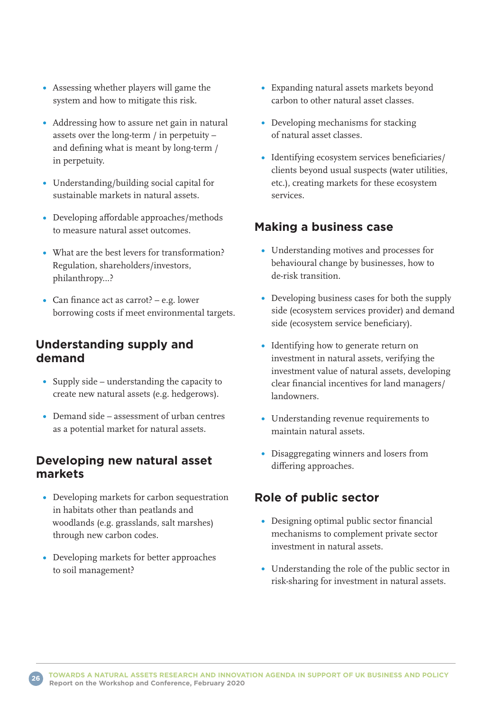- Assessing whether players will game the system and how to mitigate this risk.
- Addressing how to assure net gain in natural assets over the long-term / in perpetuity – and defining what is meant by long-term / in perpetuity.
- Understanding/building social capital for sustainable markets in natural assets.
- Developing affordable approaches/methods to measure natural asset outcomes.
- What are the best levers for transformation? Regulation, shareholders/investors, philanthropy…?
- Can finance act as carrot? e.g. lower borrowing costs if meet environmental targets.

### **Understanding supply and demand**

- Supply side understanding the capacity to create new natural assets (e.g. hedgerows).
- Demand side assessment of urban centres as a potential market for natural assets.

### **Developing new natural asset markets**

- Developing markets for carbon sequestration in habitats other than peatlands and woodlands (e.g. grasslands, salt marshes) through new carbon codes.
- Developing markets for better approaches to soil management?
- Expanding natural assets markets beyond carbon to other natural asset classes.
- Developing mechanisms for stacking of natural asset classes.
- Identifying ecosystem services beneficiaries/ clients beyond usual suspects (water utilities, etc.), creating markets for these ecosystem services.

### **Making a business case**

- Understanding motives and processes for behavioural change by businesses, how to de-risk transition.
- Developing business cases for both the supply side (ecosystem services provider) and demand side (ecosystem service beneficiary).
- Identifying how to generate return on investment in natural assets, verifying the investment value of natural assets, developing clear financial incentives for land managers/ landowners.
- Understanding revenue requirements to maintain natural assets.
- Disaggregating winners and losers from differing approaches.

### **Role of public sector**

- Designing optimal public sector financial mechanisms to complement private sector investment in natural assets.
- Understanding the role of the public sector in risk-sharing for investment in natural assets.

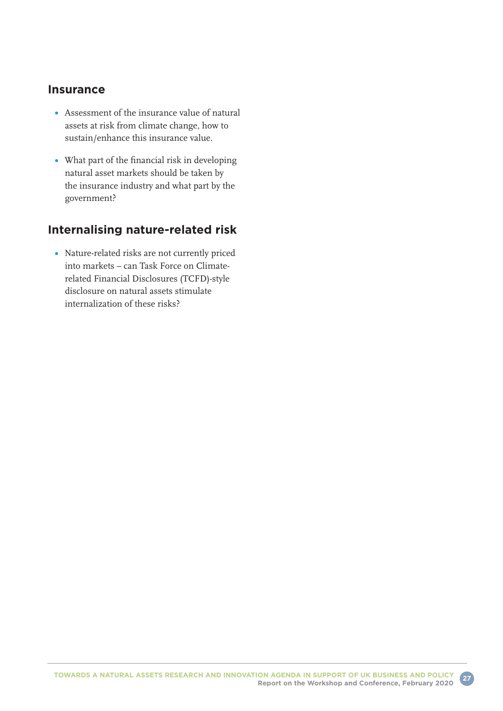#### **Insurance**

- Assessment of the insurance value of natural assets at risk from climate change, how to sustain/enhance this insurance value.
- What part of the financial risk in developing natural asset markets should be taken by the insurance industry and what part by the government?

### **Internalising nature-related risk**

Nature-related risks are not currently priced into markets – can Task Force on Climaterelated Financial Disclosures (TCFD)-style disclosure on natural assets stimulate internalization of these risks?

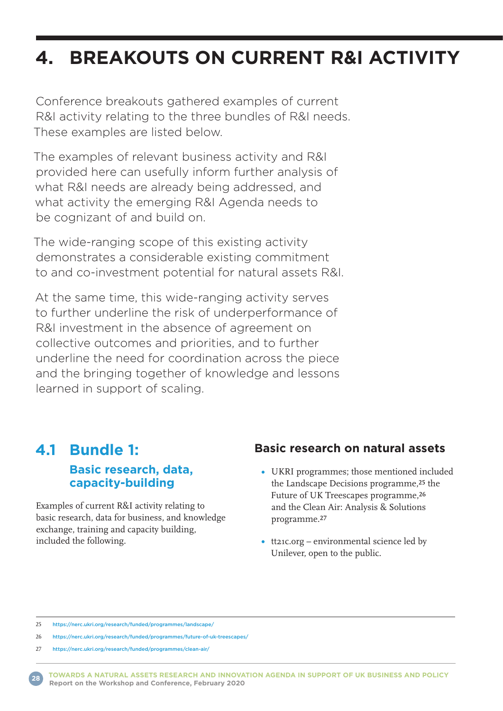# **4. BREAKOUTS ON CURRENT R&I ACTIVITY**

Conference breakouts gathered examples of current R&I activity relating to the three bundles of R&I needs. These examples are listed below.

The examples of relevant business activity and R&I provided here can usefully inform further analysis of what R&I needs are already being addressed, and what activity the emerging R&I Agenda needs to be cognizant of and build on.

The wide-ranging scope of this existing activity demonstrates a considerable existing commitment to and co-investment potential for natural assets R&I.

At the same time, this wide-ranging activity serves to further underline the risk of underperformance of R&I investment in the absence of agreement on collective outcomes and priorities, and to further underline the need for coordination across the piece and the bringing together of knowledge and lessons learned in support of scaling.

### **4.1 Bundle 1: Basic research, data, capacity-building**

Examples of current R&I activity relating to basic research, data for business, and knowledge exchange, training and capacity building, included the following.

### **Basic research on natural assets**

- UKRI programmes; those mentioned included the Landscape Decisions programme,25 the Future of UK Treescapes programme,26 and the Clean Air: Analysis & Solutions programme.27
- tt21c.org environmental science led by Unilever, open to the public.

25 <https://nerc.ukri.org/research/funded/programmes/landscape/>

26 <https://nerc.ukri.org/research/funded/programmes/future-of-uk-treescapes/>



<sup>27</sup> <https://nerc.ukri.org/research/funded/programmes/clean-air/>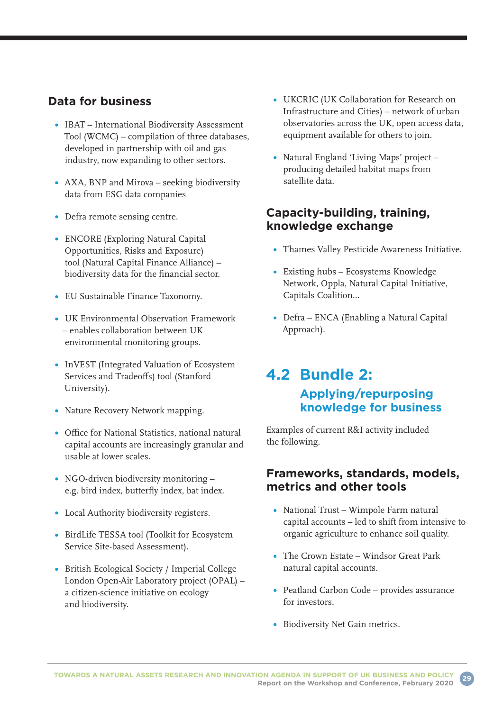### **Data for business**

- IBAT International Biodiversity Assessment Tool (WCMC) – compilation of three databases, developed in partnership with oil and gas industry, now expanding to other sectors.
- AXA, BNP and Mirova seeking biodiversity data from ESG data companies
- Defra remote sensing centre.
- ENCORE (Exploring Natural Capital Opportunities, Risks and Exposure) tool (Natural Capital Finance Alliance) – biodiversity data for the financial sector.
- EU Sustainable Finance Taxonomy.
- UK Environmental Observation Framework – enables collaboration between UK environmental monitoring groups.
- InVEST (Integrated Valuation of Ecosystem Services and Tradeoffs) tool (Stanford University).
- Nature Recovery Network mapping.
- Office for National Statistics, national natural capital accounts are increasingly granular and usable at lower scales.
- NGO-driven biodiversity monitoring e.g. bird index, butterfly index, bat index.
- Local Authority biodiversity registers.
- BirdLife TESSA tool (Toolkit for Ecosystem Service Site-based Assessment).
- British Ecological Society / Imperial College London Open-Air Laboratory project (OPAL) – a citizen-science initiative on ecology and biodiversity.
- UKCRIC (UK Collaboration for Research on Infrastructure and Cities) – network of urban observatories across the UK, open access data, equipment available for others to join.
- Natural England 'Living Maps' project producing detailed habitat maps from satellite data.

### **Capacity-building, training, knowledge exchange**

- Thames Valley Pesticide Awareness Initiative.
- Existing hubs Ecosystems Knowledge Network, Oppla, Natural Capital Initiative, Capitals Coalition…
- Defra ENCA (Enabling a Natural Capital Approach).

## **4.2 Bundle 2: Applying/repurposing knowledge for business**

Examples of current R&I activity included the following.

### **Frameworks, standards, models, metrics and other tools**

- National Trust Wimpole Farm natural capital accounts – led to shift from intensive to organic agriculture to enhance soil quality.
- The Crown Estate Windsor Great Park natural capital accounts.
- Peatland Carbon Code provides assurance for investors.
- Biodiversity Net Gain metrics.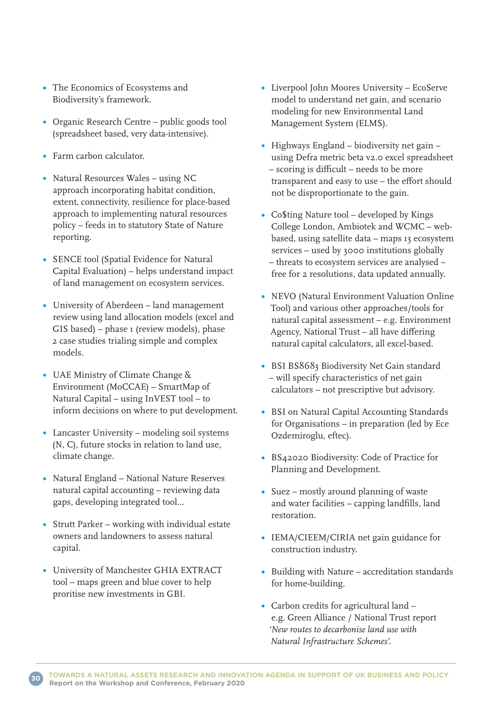- The Economics of Ecosystems and Biodiversity's framework.
- Organic Research Centre public goods tool (spreadsheet based, very data-intensive).
- Farm carbon calculator.
- Natural Resources Wales using NC approach incorporating habitat condition, extent, connectivity, resilience for place-based approach to implementing natural resources policy – feeds in to statutory State of Nature reporting.
- SENCE tool (Spatial Evidence for Natural Capital Evaluation) – helps understand impact of land management on ecosystem services.
- University of Aberdeen land management review using land allocation models (excel and GIS based) – phase 1 (review models), phase 2 case studies trialing simple and complex models.
- UAE Ministry of Climate Change & Environment (MoCCAE) – SmartMap of Natural Capital – using InVEST tool – to inform decisions on where to put development.
- Lancaster University modeling soil systems (N, C), future stocks in relation to land use, climate change.
- Natural England National Nature Reserves natural capital accounting – reviewing data gaps, developing integrated tool…
- Strutt Parker working with individual estate owners and landowners to assess natural capital.
- University of Manchester GHIA EXTRACT tool – maps green and blue cover to help proritise new investments in GBI.
- Liverpool John Moores University EcoServe model to understand net gain, and scenario modeling for new Environmental Land Management System (ELMS).
- Highways England biodiversity net gain using Defra metric beta v2.0 excel spreadsheet – scoring is difficult – needs to be more transparent and easy to use – the effort should not be disproportionate to the gain.
- Co\$ting Nature tool developed by Kings College London, Ambiotek and WCMC – webbased, using satellite data – maps 13 ecosystem services – used by 3000 institutions globally – threats to ecosystem services are analysed – free for 2 resolutions, data updated annually.
- NEVO (Natural Environment Valuation Online Tool) and various other approaches/tools for natural capital assessment – e.g. Environment Agency, National Trust – all have differing natural capital calculators, all excel-based.
- BSI BS8683 Biodiversity Net Gain standard – will specify characteristics of net gain calculators – not prescriptive but advisory.
- BSI on Natural Capital Accounting Standards for Organisations – in preparation (led by Ece Ozdemiroglu, eftec).
- BS42020 Biodiversity: Code of Practice for Planning and Development.
- Suez mostly around planning of waste and water facilities – capping landfills, land restoration.
- IEMA/CIEEM/CIRIA net gain guidance for construction industry.
- Building with Nature accreditation standards for home-building.
- Carbon credits for agricultural land e.g. Green Alliance / National Trust report *'New routes to decarbonise land use with Natural Infrastructure Schemes'.*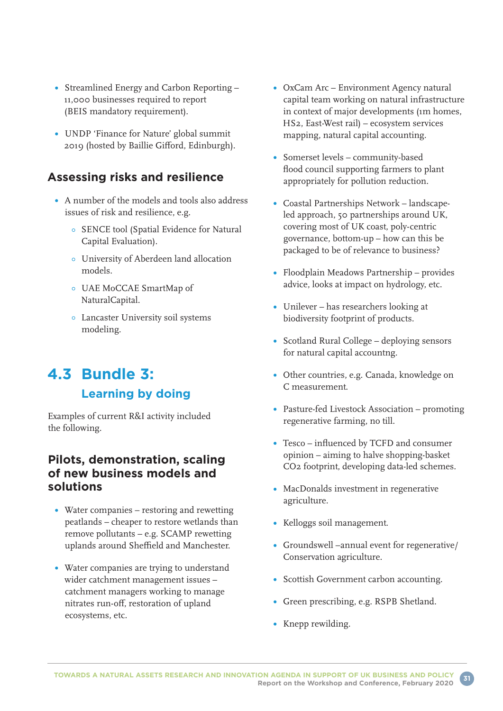- Streamlined Energy and Carbon Reporting 11,000 businesses required to report (BEIS mandatory requirement).
- UNDP 'Finance for Nature' global summit 2019 (hosted by Baillie Gifford, Edinburgh).

### **Assessing risks and resilience**

- A number of the models and tools also address issues of risk and resilience, e.g.
	- SENCE tool (Spatial Evidence for Natural Capital Evaluation).
	- University of Aberdeen land allocation models.
	- UAE MoCCAE SmartMap of NaturalCapital.
	- Lancaster University soil systems modeling.

## **4.3 Bundle 3: Learning by doing**

Examples of current R&I activity included the following.

#### **Pilots, demonstration, scaling of new business models and solutions**

- Water companies restoring and rewetting peatlands – cheaper to restore wetlands than remove pollutants – e.g. SCAMP rewetting uplands around Sheffield and Manchester.
- Water companies are trying to understand wider catchment management issues – catchment managers working to manage nitrates run-off, restoration of upland ecosystems, etc.
- OxCam Arc Environment Agency natural capital team working on natural infrastructure in context of major developments (1m homes, HS2, East-West rail) – ecosystem services mapping, natural capital accounting.
- Somerset levels community-based flood council supporting farmers to plant appropriately for pollution reduction.
- Coastal Partnerships Network landscapeled approach, 50 partnerships around UK, covering most of UK coast, poly-centric governance, bottom-up – how can this be packaged to be of relevance to business?
- Floodplain Meadows Partnership provides advice, looks at impact on hydrology, etc.
- Unilever has researchers looking at biodiversity footprint of products.
- Scotland Rural College deploying sensors for natural capital accountng.
- Other countries, e.g. Canada, knowledge on C measurement.
- Pasture-fed Livestock Association promoting regenerative farming, no till.
- Tesco influenced by TCFD and consumer opinion – aiming to halve shopping-basket CO2 footprint, developing data-led schemes.
- MacDonalds investment in regenerative agriculture.
- Kelloggs soil management.
- Groundswell –annual event for regenerative/ Conservation agriculture.
- Scottish Government carbon accounting.
- Green prescribing, e.g. RSPB Shetland.
- Knepp rewilding.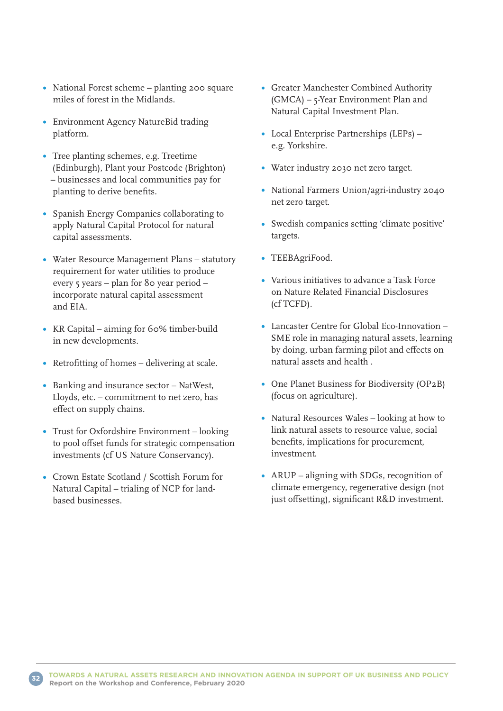- National Forest scheme planting 200 square miles of forest in the Midlands.
- Environment Agency NatureBid trading platform.
- Tree planting schemes, e.g. Treetime (Edinburgh), Plant your Postcode (Brighton) – businesses and local communities pay for planting to derive benefits.
- Spanish Energy Companies collaborating to apply Natural Capital Protocol for natural capital assessments.
- Water Resource Management Plans statutory requirement for water utilities to produce every 5 years – plan for 80 year period – incorporate natural capital assessment and EIA.
- KR Capital aiming for 60% timber-build in new developments.
- Retrofitting of homes delivering at scale.
- Banking and insurance sector NatWest, Lloyds, etc. – commitment to net zero, has effect on supply chains.
- Trust for Oxfordshire Environment looking to pool offset funds for strategic compensation investments (cf US Nature Conservancy).
- Crown Estate Scotland / Scottish Forum for Natural Capital – trialing of NCP for landbased businesses.
- Greater Manchester Combined Authority (GMCA) – 5-Year Environment Plan and Natural Capital Investment Plan.
- Local Enterprise Partnerships (LEPs) e.g. Yorkshire.
- Water industry 2030 net zero target.
- National Farmers Union/agri-industry 2040 net zero target.
- Swedish companies setting 'climate positive' targets.
- TEEBAgriFood.
- Various initiatives to advance a Task Force on Nature Related Financial Disclosures (cf TCFD).
- Lancaster Centre for Global Eco-Innovation SME role in managing natural assets, learning by doing, urban farming pilot and effects on natural assets and health .
- One Planet Business for Biodiversity (OP<sub>2</sub>B) (focus on agriculture).
- Natural Resources Wales looking at how to link natural assets to resource value, social benefits, implications for procurement, investment.
- ARUP aligning with SDGs, recognition of climate emergency, regenerative design (not just offsetting), significant R&D investment.

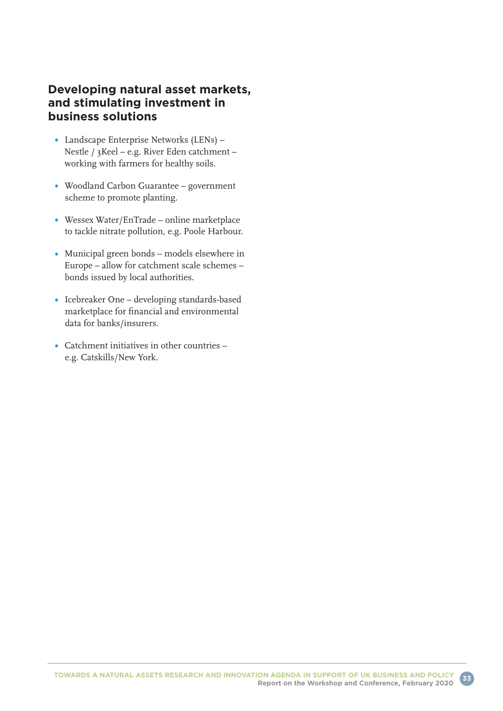### **Developing natural asset markets, and stimulating investment in business solutions**

- Landscape Enterprise Networks (LENs) Nestle / 3Keel – e.g. River Eden catchment – working with farmers for healthy soils.
- Woodland Carbon Guarantee government scheme to promote planting.
- Wessex Water/EnTrade online marketplace to tackle nitrate pollution, e.g. Poole Harbour.
- Municipal green bonds models elsewhere in Europe – allow for catchment scale schemes – bonds issued by local authorities.
- Icebreaker One developing standards-based marketplace for financial and environmental data for banks/insurers.
- Catchment initiatives in other countries e.g. Catskills/New York.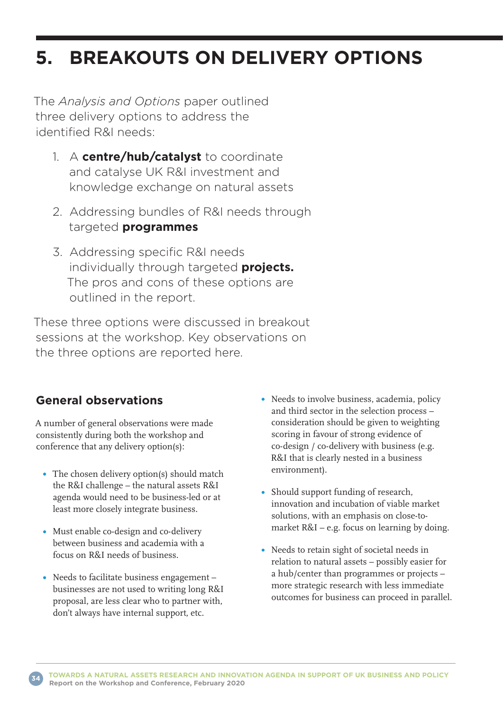# **5. BREAKOUTS ON DELIVERY OPTIONS**

The *Analysis and Options* paper outlined three delivery options to address the identified R&I needs:

- 1. A **centre/hub/catalyst** to coordinate and catalyse UK R&I investment and knowledge exchange on natural assets
- 2. Addressing bundles of R&I needs through targeted **programmes**
- 3. Addressing specific R&I needs individually through targeted **projects.** The pros and cons of these options are outlined in the report.

These three options were discussed in breakout sessions at the workshop. Key observations on the three options are reported here.

### **General observations**

A number of general observations were made consistently during both the workshop and conference that any delivery option(s):

- The chosen delivery option(s) should match the R&I challenge – the natural assets R&I agenda would need to be business-led or at least more closely integrate business.
- Must enable co-design and co-delivery between business and academia with a focus on R&I needs of business.
- Needs to facilitate business engagement businesses are not used to writing long R&I proposal, are less clear who to partner with, don't always have internal support, etc.
- Needs to involve business, academia, policy and third sector in the selection process – consideration should be given to weighting scoring in favour of strong evidence of co-design / co-delivery with business (e.g. R&I that is clearly nested in a business environment).
- Should support funding of research, innovation and incubation of viable market solutions, with an emphasis on close-tomarket R&I – e.g. focus on learning by doing.
- Needs to retain sight of societal needs in relation to natural assets – possibly easier for a hub/center than programmes or projects – more strategic research with less immediate outcomes for business can proceed in parallel.

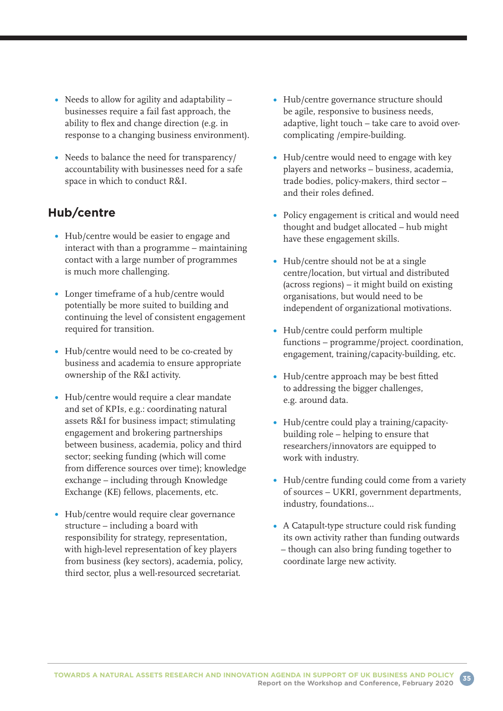- Needs to allow for agility and adaptability businesses require a fail fast approach, the ability to flex and change direction (e.g. in response to a changing business environment).
- Needs to balance the need for transparency/ accountability with businesses need for a safe space in which to conduct R&I.

### **Hub/centre**

- Hub/centre would be easier to engage and interact with than a programme – maintaining contact with a large number of programmes is much more challenging.
- Longer timeframe of a hub/centre would potentially be more suited to building and continuing the level of consistent engagement required for transition.
- Hub/centre would need to be co-created by business and academia to ensure appropriate ownership of the R&I activity.
- Hub/centre would require a clear mandate and set of KPIs, e.g.: coordinating natural assets R&I for business impact; stimulating engagement and brokering partnerships between business, academia, policy and third sector; seeking funding (which will come from difference sources over time); knowledge exchange – including through Knowledge Exchange (KE) fellows, placements, etc.
- Hub/centre would require clear governance structure – including a board with responsibility for strategy, representation, with high-level representation of key players from business (key sectors), academia, policy, third sector, plus a well-resourced secretariat.
- Hub/centre governance structure should be agile, responsive to business needs, adaptive, light touch – take care to avoid overcomplicating /empire-building.
- Hub/centre would need to engage with key players and networks – business, academia, trade bodies, policy-makers, third sector – and their roles defined.
- Policy engagement is critical and would need thought and budget allocated – hub might have these engagement skills.
- Hub/centre should not be at a single centre/location, but virtual and distributed (across regions) – it might build on existing organisations, but would need to be independent of organizational motivations.
- Hub/centre could perform multiple functions – programme/project. coordination, engagement, training/capacity-building, etc.
- Hub/centre approach may be best fitted to addressing the bigger challenges, e.g. around data.
- Hub/centre could play a training/capacitybuilding role – helping to ensure that researchers/innovators are equipped to work with industry.
- Hub/centre funding could come from a variety of sources – UKRI, government departments, industry, foundations…
- A Catapult-type structure could risk funding its own activity rather than funding outwards – though can also bring funding together to coordinate large new activity.

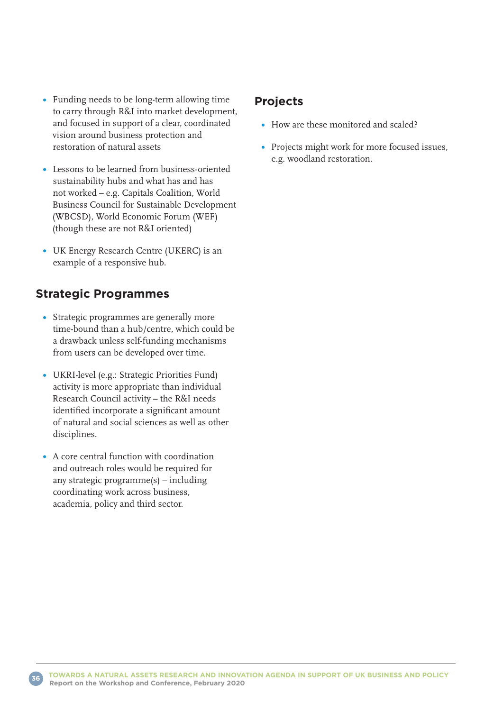- Funding needs to be long-term allowing time to carry through R&I into market development, and focused in support of a clear, coordinated vision around business protection and restoration of natural assets
- Lessons to be learned from business-oriented sustainability hubs and what has and has not worked – e.g. Capitals Coalition, World Business Council for Sustainable Development (WBCSD), World Economic Forum (WEF) (though these are not R&I oriented)
- UK Energy Research Centre (UKERC) is an example of a responsive hub.

### **Strategic Programmes**

- Strategic programmes are generally more time-bound than a hub/centre, which could be a drawback unless self-funding mechanisms from users can be developed over time.
- UKRI-level (e.g.: Strategic Priorities Fund) activity is more appropriate than individual Research Council activity – the R&I needs identified incorporate a significant amount of natural and social sciences as well as other disciplines.
- A core central function with coordination and outreach roles would be required for any strategic programme(s) – including coordinating work across business, academia, policy and third sector.

### **Projects**

- How are these monitored and scaled?
- Projects might work for more focused issues, e.g. woodland restoration.

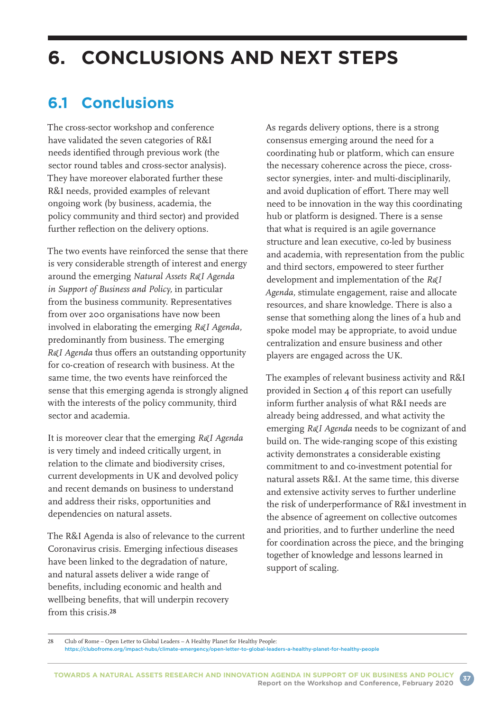# **6. CONCLUSIONS AND NEXT STEPS**

## **6.1 Conclusions**

The cross-sector workshop and conference have validated the seven categories of R&I needs identified through previous work (the sector round tables and cross-sector analysis). They have moreover elaborated further these R&I needs, provided examples of relevant ongoing work (by business, academia, the policy community and third sector) and provided further reflection on the delivery options.

The two events have reinforced the sense that there is very considerable strength of interest and energy around the emerging *Natural Assets R&I Agenda in Support of Business and Policy,* in particular from the business community. Representatives from over 200 organisations have now been involved in elaborating the emerging *R&I Agenda,* predominantly from business. The emerging *R&I Agenda* thus offers an outstanding opportunity for co-creation of research with business. At the same time, the two events have reinforced the sense that this emerging agenda is strongly aligned with the interests of the policy community, third sector and academia.

It is moreover clear that the emerging *R&I Agenda* is very timely and indeed critically urgent, in relation to the climate and biodiversity crises, current developments in UK and devolved policy and recent demands on business to understand and address their risks, opportunities and dependencies on natural assets.

The R&I Agenda is also of relevance to the current Coronavirus crisis. Emerging infectious diseases have been linked to the degradation of nature, and natural assets deliver a wide range of benefits, including economic and health and wellbeing benefits, that will underpin recovery from this crisis.28

As regards delivery options, there is a strong consensus emerging around the need for a coordinating hub or platform, which can ensure the necessary coherence across the piece, crosssector synergies, inter- and multi-disciplinarily, and avoid duplication of effort. There may well need to be innovation in the way this coordinating hub or platform is designed. There is a sense that what is required is an agile governance structure and lean executive, co-led by business and academia, with representation from the public and third sectors, empowered to steer further development and implementation of the *R&I Agenda,* stimulate engagement, raise and allocate resources, and share knowledge. There is also a sense that something along the lines of a hub and spoke model may be appropriate, to avoid undue centralization and ensure business and other players are engaged across the UK.

The examples of relevant business activity and R&I provided in Section 4 of this report can usefully inform further analysis of what R&I needs are already being addressed, and what activity the emerging *R&I Agenda* needs to be cognizant of and build on. The wide-ranging scope of this existing activity demonstrates a considerable existing commitment to and co-investment potential for natural assets R&I. At the same time, this diverse and extensive activity serves to further underline the risk of underperformance of R&I investment in the absence of agreement on collective outcomes and priorities, and to further underline the need for coordination across the piece, and the bringing together of knowledge and lessons learned in support of scaling.

28 Club of Rome – Open Letter to Global Leaders – A Healthy Planet for Healthy People:

[https://clubofrome.org/impact-hubs/climate-emergency/open-letter-to-global-leaders-a-healthy-planet-for-healthy-people](https://clubofrome.org/impact-hubs/climate-emergency/open-letter-to-global-leaders-a-healthy-planet-)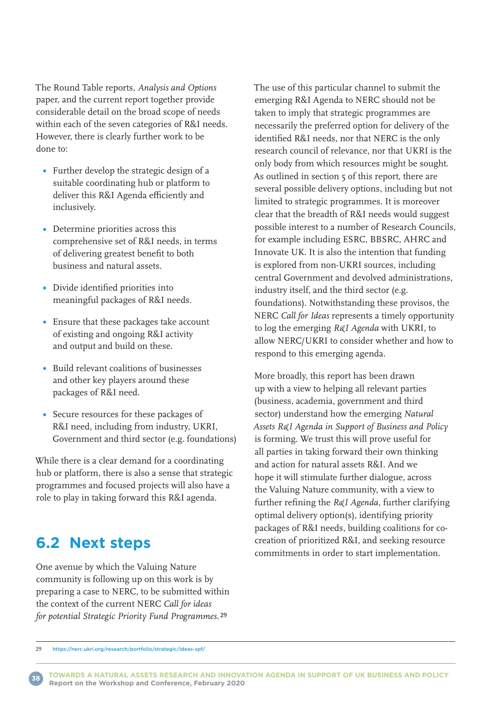The Round Table reports, *Analysis and Options* paper, and the current report together provide considerable detail on the broad scope of needs within each of the seven categories of R&I needs. However, there is clearly further work to be done to:

- Further develop the strategic design of a suitable coordinating hub or platform to deliver this R&I Agenda efficiently and inclusively.
- Determine priorities across this comprehensive set of R&I needs, in terms of delivering greatest benefit to both business and natural assets.
- Divide identified priorities into meaningful packages of R&I needs.
- Ensure that these packages take account of existing and ongoing R&I activity and output and build on these.
- Build relevant coalitions of businesses and other key players around these packages of R&I need.
- Secure resources for these packages of R&I need, including from industry, UKRI, Government and third sector (e.g. foundations)

While there is a clear demand for a coordinating hub or platform, there is also a sense that strategic programmes and focused projects will also have a role to play in taking forward this R&I agenda.

## **6.2 Next steps**

One avenue by which the Valuing Nature community is following up on this work is by preparing a case to NERC, to be submitted within the context of the current NERC *Call for ideas for potential Strategic Priority Fund Programmes.*29

The use of this particular channel to submit the emerging R&I Agenda to NERC should not be taken to imply that strategic programmes are necessarily the preferred option for delivery of the identified R&I needs, nor that NERC is the only research council of relevance, nor that UKRI is the only body from which resources might be sought. As outlined in section 5 of this report, there are several possible delivery options, including but not limited to strategic programmes. It is moreover clear that the breadth of R&I needs would suggest possible interest to a number of Research Councils, for example including ESRC, BBSRC, AHRC and Innovate UK. It is also the intention that funding is explored from non-UKRI sources, including central Government and devolved administrations, industry itself, and the third sector (e.g. foundations). Notwithstanding these provisos, the NERC *Call for Ideas* represents a timely opportunity to log the emerging *R&I Agenda* with UKRI, to allow NERC/UKRI to consider whether and how to respond to this emerging agenda.

More broadly, this report has been drawn up with a view to helping all relevant parties (business, academia, government and third sector) understand how the emerging *Natural Assets R&I Agenda in Support of Business and Policy* is forming. We trust this will prove useful for all parties in taking forward their own thinking and action for natural assets R&I. And we hope it will stimulate further dialogue, across the Valuing Nature community, with a view to further refining the *R&I Agenda,* further clarifying optimal delivery option(s), identifying priority packages of R&I needs, building coalitions for cocreation of prioritized R&I, and seeking resource commitments in order to start implementation.

**TOWARDS A NATURAL ASSETS RESEARCH AND INNOVATION AGENDA IN SUPPORT OF UK BUSINESS AND POLICY Report on the Workshop and Conference, February 2020** 



<sup>29</sup> <https://nerc.ukri.org/research/portfolio/strategic/ideas-spf/>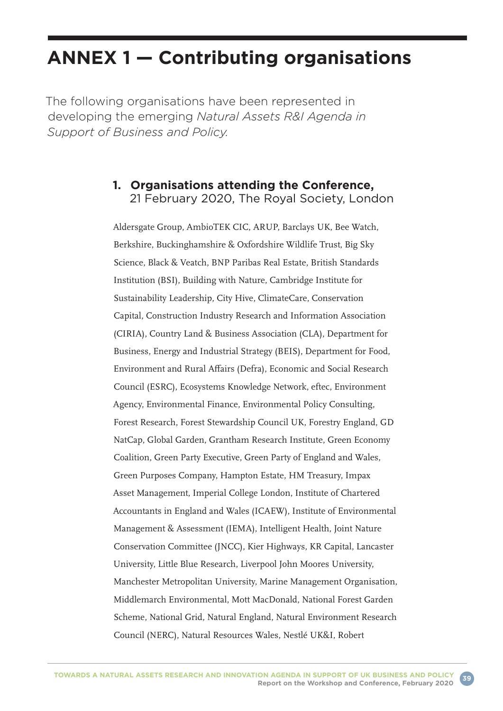# **ANNEX 1 — Contributing organisations**

The following organisations have been represented in developing the emerging *Natural Assets R&I Agenda in Support of Business and Policy.*

### **1. Organisations attending the Conference,**  21 February 2020, The Royal Society, London

Aldersgate Group, AmbioTEK CIC, ARUP, Barclays UK, Bee Watch, Berkshire, Buckinghamshire & Oxfordshire Wildlife Trust, Big Sky Science, Black & Veatch, BNP Paribas Real Estate, British Standards Institution (BSI), Building with Nature, Cambridge Institute for Sustainability Leadership, City Hive, ClimateCare, Conservation Capital, Construction Industry Research and Information Association (CIRIA), Country Land & Business Association (CLA), Department for Business, Energy and Industrial Strategy (BEIS), Department for Food, Environment and Rural Affairs (Defra), Economic and Social Research Council (ESRC), Ecosystems Knowledge Network, eftec, Environment Agency, Environmental Finance, Environmental Policy Consulting, Forest Research, Forest Stewardship Council UK, Forestry England, GD NatCap, Global Garden, Grantham Research Institute, Green Economy Coalition, Green Party Executive, Green Party of England and Wales, Green Purposes Company, Hampton Estate, HM Treasury, Impax Asset Management, Imperial College London, Institute of Chartered Accountants in England and Wales (ICAEW), Institute of Environmental Management & Assessment (IEMA), Intelligent Health, Joint Nature Conservation Committee (JNCC), Kier Highways, KR Capital, Lancaster University, Little Blue Research, Liverpool John Moores University, Manchester Metropolitan University, Marine Management Organisation, Middlemarch Environmental, Mott MacDonald, National Forest Garden Scheme, National Grid, Natural England, Natural Environment Research Council (NERC), Natural Resources Wales, Nestlé UK&I, Robert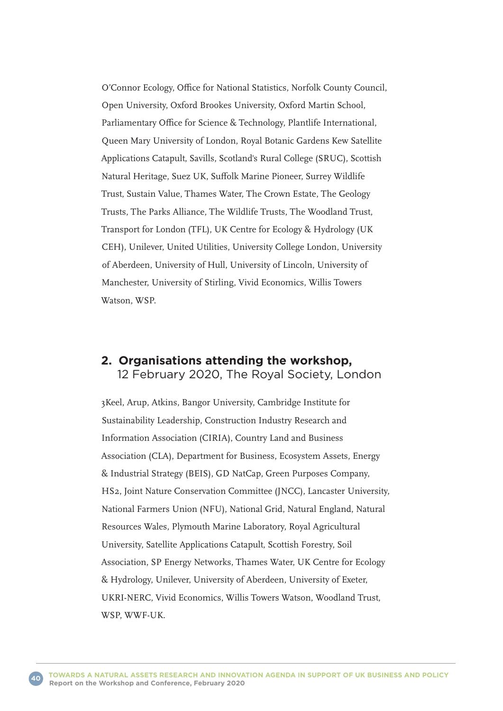O'Connor Ecology, Office for National Statistics, Norfolk County Council, Open University, Oxford Brookes University, Oxford Martin School, Parliamentary Office for Science & Technology, Plantlife International, Queen Mary University of London, Royal Botanic Gardens Kew Satellite Applications Catapult, Savills, Scotland's Rural College (SRUC), Scottish Natural Heritage, Suez UK, Suffolk Marine Pioneer, Surrey Wildlife Trust, Sustain Value, Thames Water, The Crown Estate, The Geology Trusts, The Parks Alliance, The Wildlife Trusts, The Woodland Trust, Transport for London (TFL), UK Centre for Ecology & Hydrology (UK CEH), Unilever, United Utilities, University College London, University of Aberdeen, University of Hull, University of Lincoln, University of Manchester, University of Stirling, Vivid Economics, Willis Towers Watson, WSP.

#### **2. Organisations attending the workshop,**  12 February 2020, The Royal Society, London

3Keel, Arup, Atkins, Bangor University, Cambridge Institute for Sustainability Leadership, Construction Industry Research and Information Association (CIRIA), Country Land and Business Association (CLA), Department for Business, Ecosystem Assets, Energy & Industrial Strategy (BEIS), GD NatCap, Green Purposes Company, HS2, Joint Nature Conservation Committee (JNCC), Lancaster University, National Farmers Union (NFU), National Grid, Natural England, Natural Resources Wales, Plymouth Marine Laboratory, Royal Agricultural University, Satellite Applications Catapult, Scottish Forestry, Soil Association, SP Energy Networks, Thames Water, UK Centre for Ecology & Hydrology, Unilever, University of Aberdeen, University of Exeter, UKRI-NERC, Vivid Economics, Willis Towers Watson, Woodland Trust, WSP, WWF-UK.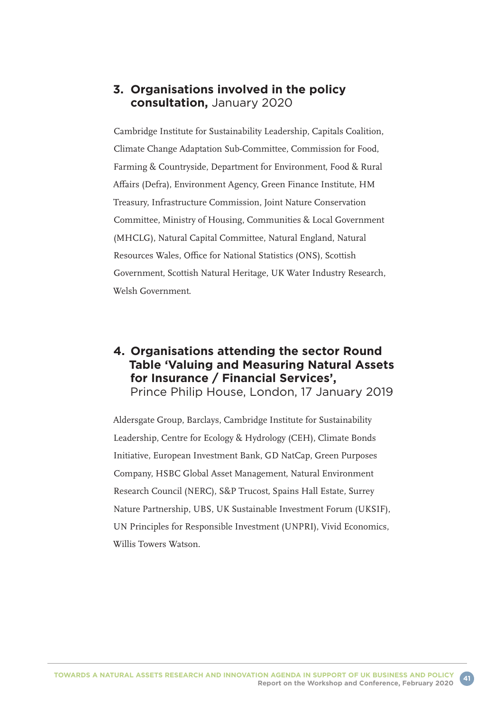### **3. Organisations involved in the policy consultation,** January 2020

Cambridge Institute for Sustainability Leadership, Capitals Coalition, Climate Change Adaptation Sub-Committee, Commission for Food, Farming & Countryside, Department for Environment, Food & Rural Affairs (Defra), Environment Agency, Green Finance Institute, HM Treasury, Infrastructure Commission, Joint Nature Conservation Committee, Ministry of Housing, Communities & Local Government (MHCLG), Natural Capital Committee, Natural England, Natural Resources Wales, Office for National Statistics (ONS), Scottish Government, Scottish Natural Heritage, UK Water Industry Research, Welsh Government.

#### **4. Organisations attending the sector Round Table 'Valuing and Measuring Natural Assets for Insurance / Financial Services',**  Prince Philip House, London, 17 January 2019

Aldersgate Group, Barclays, Cambridge Institute for Sustainability Leadership, Centre for Ecology & Hydrology (CEH), Climate Bonds Initiative, European Investment Bank, GD NatCap, Green Purposes Company, HSBC Global Asset Management, Natural Environment Research Council (NERC), S&P Trucost, Spains Hall Estate, Surrey Nature Partnership, UBS, UK Sustainable Investment Forum (UKSIF), UN Principles for Responsible Investment (UNPRI), Vivid Economics, Willis Towers Watson.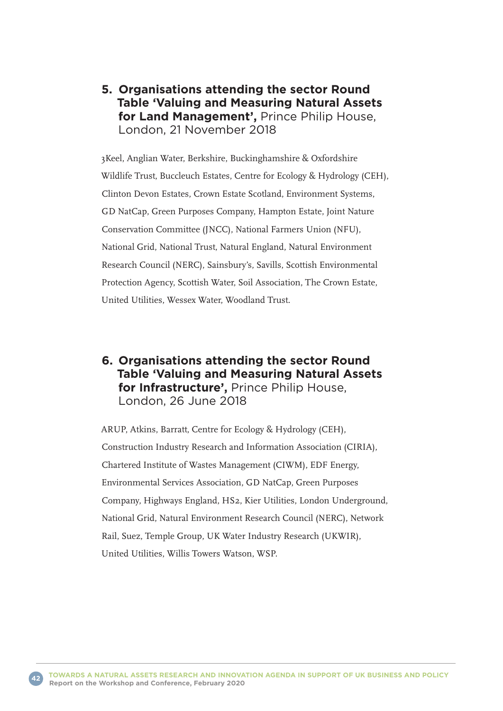### **5. Organisations attending the sector Round Table 'Valuing and Measuring Natural Assets for Land Management',** Prince Philip House, London, 21 November 2018

3Keel, Anglian Water, Berkshire, Buckinghamshire & Oxfordshire Wildlife Trust, Buccleuch Estates, Centre for Ecology & Hydrology (CEH), Clinton Devon Estates, Crown Estate Scotland, Environment Systems, GD NatCap, Green Purposes Company, Hampton Estate, Joint Nature Conservation Committee (JNCC), National Farmers Union (NFU), National Grid, National Trust, Natural England, Natural Environment Research Council (NERC), Sainsbury's, Savills, Scottish Environmental Protection Agency, Scottish Water, Soil Association, The Crown Estate, United Utilities, Wessex Water, Woodland Trust.

### **6. Organisations attending the sector Round Table 'Valuing and Measuring Natural Assets for Infrastructure',** Prince Philip House, London, 26 June 2018

ARUP, Atkins, Barratt, Centre for Ecology & Hydrology (CEH), Construction Industry Research and Information Association (CIRIA), Chartered Institute of Wastes Management (CIWM), EDF Energy, Environmental Services Association, GD NatCap, Green Purposes Company, Highways England, HS2, Kier Utilities, London Underground, National Grid, Natural Environment Research Council (NERC), Network Rail, Suez, Temple Group, UK Water Industry Research (UKWIR), United Utilities, Willis Towers Watson, WSP.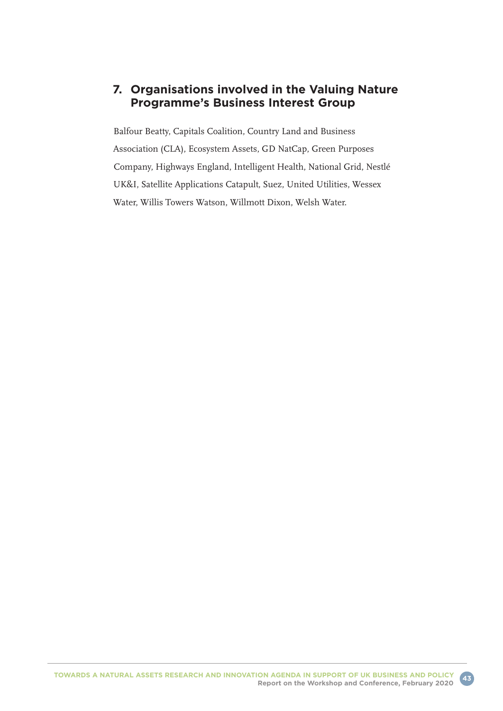### **7. Organisations involved in the Valuing Nature Programme's Business Interest Group**

Balfour Beatty, Capitals Coalition, Country Land and Business Association (CLA), Ecosystem Assets, GD NatCap, Green Purposes Company, Highways England, Intelligent Health, National Grid, Nestlé UK&I, Satellite Applications Catapult, Suez, United Utilities, Wessex Water, Willis Towers Watson, Willmott Dixon, Welsh Water.